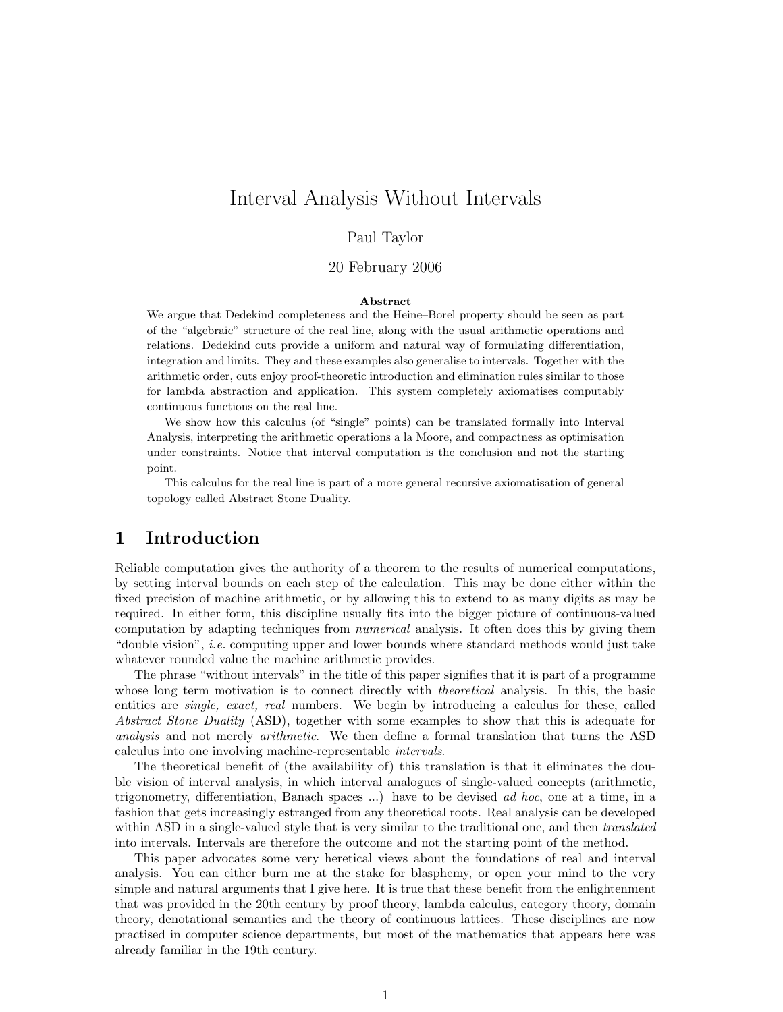# Interval Analysis Without Intervals

#### Paul Taylor

#### 20 February 2006

#### Abstract

We argue that Dedekind completeness and the Heine–Borel property should be seen as part of the "algebraic" structure of the real line, along with the usual arithmetic operations and relations. Dedekind cuts provide a uniform and natural way of formulating differentiation, integration and limits. They and these examples also generalise to intervals. Together with the arithmetic order, cuts enjoy proof-theoretic introduction and elimination rules similar to those for lambda abstraction and application. This system completely axiomatises computably continuous functions on the real line.

We show how this calculus (of "single" points) can be translated formally into Interval Analysis, interpreting the arithmetic operations a la Moore, and compactness as optimisation under constraints. Notice that interval computation is the conclusion and not the starting point.

This calculus for the real line is part of a more general recursive axiomatisation of general topology called Abstract Stone Duality.

#### 1 Introduction

Reliable computation gives the authority of a theorem to the results of numerical computations, by setting interval bounds on each step of the calculation. This may be done either within the fixed precision of machine arithmetic, or by allowing this to extend to as many digits as may be required. In either form, this discipline usually fits into the bigger picture of continuous-valued computation by adapting techniques from numerical analysis. It often does this by giving them "double vision", i.e. computing upper and lower bounds where standard methods would just take whatever rounded value the machine arithmetic provides.

The phrase "without intervals" in the title of this paper signifies that it is part of a programme whose long term motivation is to connect directly with *theoretical* analysis. In this, the basic entities are *single, exact, real* numbers. We begin by introducing a calculus for these, called Abstract Stone Duality (ASD), together with some examples to show that this is adequate for analysis and not merely arithmetic. We then define a formal translation that turns the ASD calculus into one involving machine-representable intervals.

The theoretical benefit of (the availability of) this translation is that it eliminates the double vision of interval analysis, in which interval analogues of single-valued concepts (arithmetic, trigonometry, differentiation, Banach spaces ...) have to be devised ad hoc, one at a time, in a fashion that gets increasingly estranged from any theoretical roots. Real analysis can be developed within ASD in a single-valued style that is very similar to the traditional one, and then translated into intervals. Intervals are therefore the outcome and not the starting point of the method.

This paper advocates some very heretical views about the foundations of real and interval analysis. You can either burn me at the stake for blasphemy, or open your mind to the very simple and natural arguments that I give here. It is true that these benefit from the enlightenment that was provided in the 20th century by proof theory, lambda calculus, category theory, domain theory, denotational semantics and the theory of continuous lattices. These disciplines are now practised in computer science departments, but most of the mathematics that appears here was already familiar in the 19th century.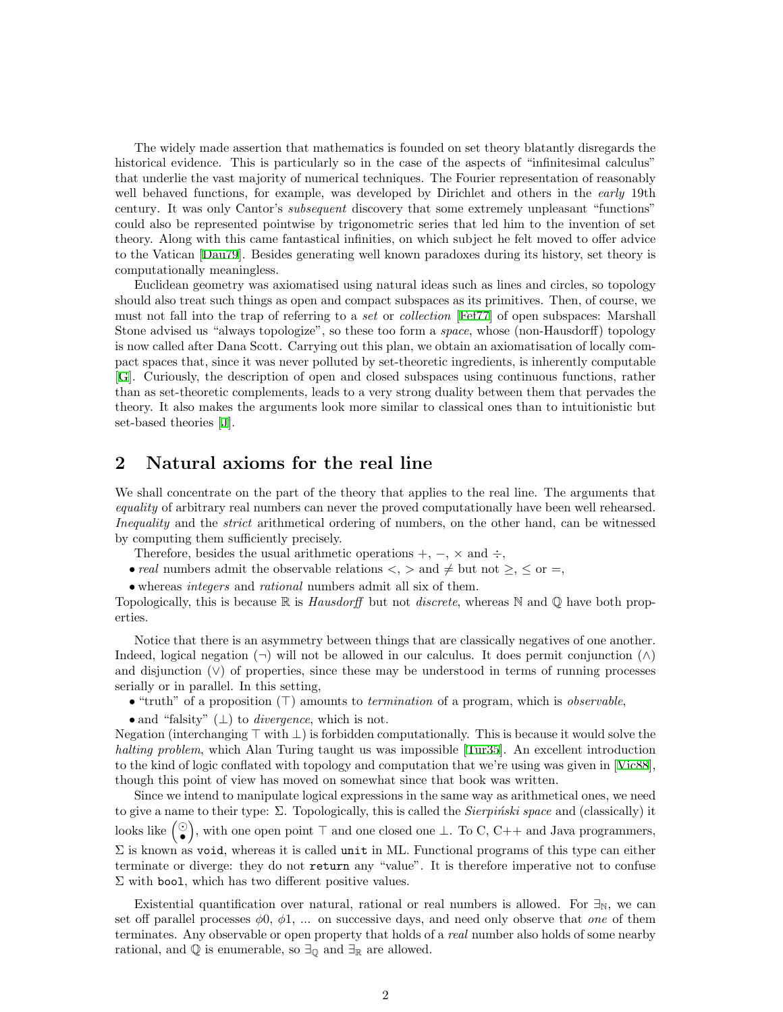The widely made assertion that mathematics is founded on set theory blatantly disregards the historical evidence. This is particularly so in the case of the aspects of "infinitesimal calculus" that underlie the vast majority of numerical techniques. The Fourier representation of reasonably well behaved functions, for example, was developed by Dirichlet and others in the early 19th century. It was only Cantor's *subsequent* discovery that some extremely unpleasant "functions" could also be represented pointwise by trigonometric series that led him to the invention of set theory. Along with this came fantastical infinities, on which subject he felt moved to offer advice to the Vatican [\[Dau79\]](#page-19-0). Besides generating well known paradoxes during its history, set theory is computationally meaningless.

Euclidean geometry was axiomatised using natural ideas such as lines and circles, so topology should also treat such things as open and compact subspaces as its primitives. Then, of course, we must not fall into the trap of referring to a set or collection [[Fef77\]](#page-19-1) of open subspaces: Marshall Stone advised us "always topologize", so these too form a space, whose (non-Hausdorff) topology is now called after Dana Scott. Carrying out this plan, we obtain an axiomatisation of locally compact spaces that, since it was never polluted by set-theoretic ingredients, is inherently computable [[G\]](#page-20-0). Curiously, the description of open and closed subspaces using continuous functions, rather than as set-theoretic complements, leads to a very strong duality between them that pervades the theory. It also makes the arguments look more similar to classical ones than to intuitionistic but set-based theories [\[J](#page-20-1)].

## <span id="page-1-0"></span>2 Natural axioms for the real line

We shall concentrate on the part of the theory that applies to the real line. The arguments that equality of arbitrary real numbers can never the proved computationally have been well rehearsed. Inequality and the strict arithmetical ordering of numbers, on the other hand, can be witnessed by computing them sufficiently precisely.

Therefore, besides the usual arithmetic operations  $+$ ,  $-$ ,  $\times$  and  $\div$ ,

• real numbers admit the observable relations  $\langle , \rangle$  and  $\neq$  but not  $\geq, \leq$  or  $=$ ,

• whereas integers and rational numbers admit all six of them.

Topologically, this is because  $\mathbb R$  is *Hausdorff* but not *discrete*, whereas  $\mathbb N$  and  $\mathbb Q$  have both properties.

Notice that there is an asymmetry between things that are classically negatives of one another. Indeed, logical negation  $(\neg)$  will not be allowed in our calculus. It does permit conjunction  $(\wedge)$ and disjunction  $(\vee)$  of properties, since these may be understood in terms of running processes serially or in parallel. In this setting,

• "truth" of a proposition  $(T)$  amounts to *termination* of a program, which is *observable*,

• and "falsity"  $(\perp)$  to *divergence*, which is not.

Negation (interchanging  $\top$  with  $\bot$ ) is forbidden computationally. This is because it would solve the halting problem, which Alan Turing taught us was impossible [\[Tur35\]](#page-19-2). An excellent introduction to the kind of logic conflated with topology and computation that we're using was given in[[Vic88](#page-19-3)], though this point of view has moved on somewhat since that book was written.

Since we intend to manipulate logical expressions in the same way as arithmetical ones, we need to give a name to their type:  $\Sigma$ . Topologically, this is called the *Sierpinski space* and (classically) it looks like  $\left(\begin{matrix} \odot \\ \bullet \end{matrix}\right)$ , with one open point  $\top$  and one closed one ⊥. To C, C++ and Java programmers,  $\Sigma$  is known as void, whereas it is called unit in ML. Functional programs of this type can either terminate or diverge: they do not return any "value". It is therefore imperative not to confuse  $\Sigma$  with bool, which has two different positive values.

Existential quantification over natural, rational or real numbers is allowed. For  $\exists_N$ , we can set off parallel processes  $\phi$ 0,  $\phi$ 1, ... on successive days, and need only observe that one of them terminates. Any observable or open property that holds of a real number also holds of some nearby rational, and  $\mathbb Q$  is enumerable, so  $\exists_{\mathbb Q}$  and  $\exists_{\mathbb R}$  are allowed.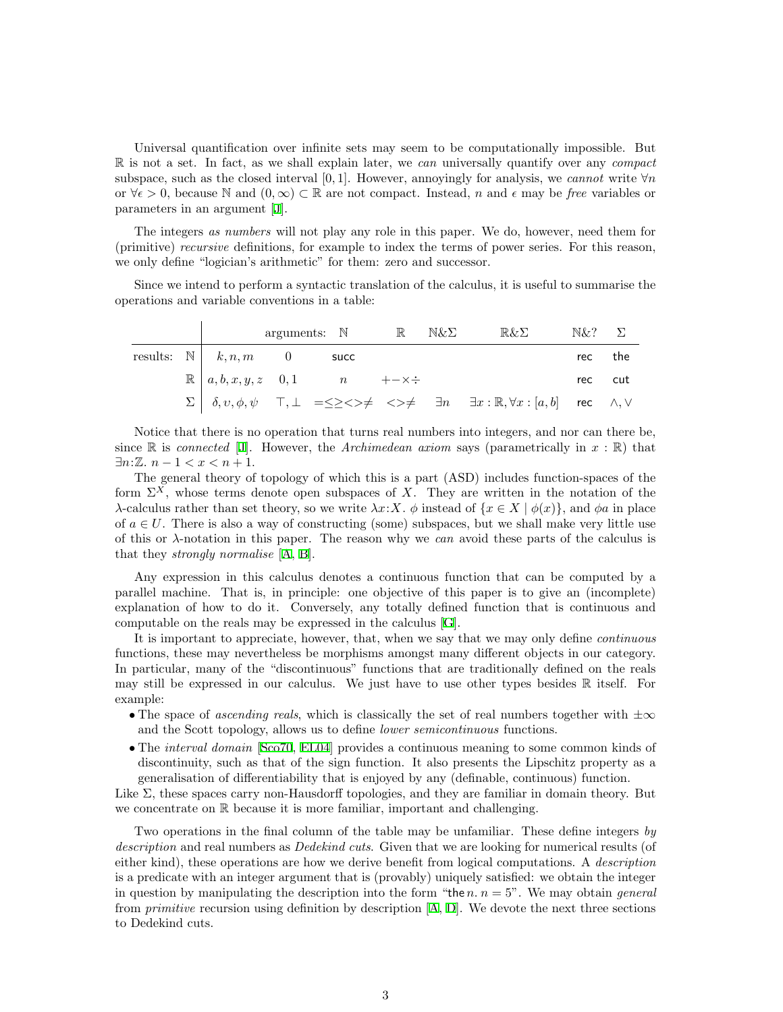Universal quantification over infinite sets may seem to be computationally impossible. But  $\mathbb R$  is not a set. In fact, as we shall explain later, we can universally quantify over any compact subspace, such as the closed interval [0, 1]. However, annoyingly for analysis, we cannot write  $\forall n$ or  $\forall \epsilon > 0$ , because N and  $(0, \infty) \subset \mathbb{R}$  are not compact. Instead, n and  $\epsilon$  may be free variables or parameters in an argument [\[J\]](#page-20-1).

The integers as numbers will not play any role in this paper. We do, however, need them for (primitive) recursive definitions, for example to index the terms of power series. For this reason, we only define "logician's arithmetic" for them: zero and successor.

Since we intend to perform a syntactic translation of the calculus, it is useful to summarise the operations and variable conventions in a table:

|  |                                          | arguments: $\mathbb{N}$ $\mathbb{R}$ $\mathbb{N}\&\Sigma$               |  | $\mathbb{R}\&\Sigma$                                                                                                                                                                                                  | $N\&?$ $\Sigma$ |  |
|--|------------------------------------------|-------------------------------------------------------------------------|--|-----------------------------------------------------------------------------------------------------------------------------------------------------------------------------------------------------------------------|-----------------|--|
|  | results: $\mathbb{N}$   $k, n, m$ 0 succ |                                                                         |  |                                                                                                                                                                                                                       | rec the         |  |
|  |                                          | $\mathbb{R} \mid a, b, x, y, z \quad 0, 1 \qquad n \qquad +\infty \div$ |  |                                                                                                                                                                                                                       | rec cut         |  |
|  |                                          |                                                                         |  | $\Sigma \begin{array}{cccccc} \Sigma & \delta, v, \phi, \psi & \top, \bot & = \le \ge \lt \gt \ne & \iff & \exists n \quad \exists x : \mathbb{R}, \forall x : [a, b] \quad \text{rec} \quad \land, \lor \end{array}$ |                 |  |

Notice that there is no operation that turns real numbers into integers, and nor can there be, since R is connected [[J](#page-20-1)]. However, the Archimedean axiom says (parametrically in  $x : \mathbb{R}$ ) that  $\exists n:\mathbb{Z}. n-1 < x < n+1.$ 

The general theory of topology of which this is a part (ASD) includes function-spaces of the form  $\Sigma^X$ , whose terms denote open subspaces of X. They are written in the notation of the λ-calculus rather than set theory, so we write  $\lambda x: X$ . φ instead of  $\{x \in X \mid \phi(x)\}\)$ , and φa in place of  $a \in U$ . There is also a way of constructing (some) subspaces, but we shall make very little use of this or  $\lambda$ -notation in this paper. The reason why we can avoid these parts of the calculus is that they strongly normalise [[A](#page-20-2), [B](#page-20-3)].

Any expression in this calculus denotes a continuous function that can be computed by a parallel machine. That is, in principle: one objective of this paper is to give an (incomplete) explanation of how to do it. Conversely, any totally defined function that is continuous and computable on the reals may be expressed in the calculus [\[G\]](#page-20-0).

It is important to appreciate, however, that, when we say that we may only define continuous functions, these may nevertheless be morphisms amongst many different objects in our category. In particular, many of the "discontinuous" functions that are traditionally defined on the reals may still be expressed in our calculus. We just have to use other types besides  $\mathbb R$  itself. For example:

- The space of ascending reals, which is classically the set of real numbers together with  $\pm \infty$ and the Scott topology, allows us to define lower semicontinuous functions.
- The *interval domain* [[Sco70,](#page-19-4) [EL04\]](#page-19-5) provides a continuous meaning to some common kinds of discontinuity, such as that of the sign function. It also presents the Lipschitz property as a generalisation of differentiability that is enjoyed by any (definable, continuous) function.

Like  $\Sigma$ , these spaces carry non-Hausdorff topologies, and they are familiar in domain theory. But we concentrate on R because it is more familiar, important and challenging.

Two operations in the final column of the table may be unfamiliar. These define integers by description and real numbers as *Dedekind cuts*. Given that we are looking for numerical results (of either kind), these operations are how we derive benefit from logical computations. A description is a predicate with an integer argument that is (provably) uniquely satisfied: we obtain the integer in question by manipulating the description into the form "the n.  $n = 5$ ". We may obtain *general* from*primitive* recursion using definition by description  $[A, D]$  $[A, D]$  $[A, D]$  $[A, D]$ . We devote the next three sections to Dedekind cuts.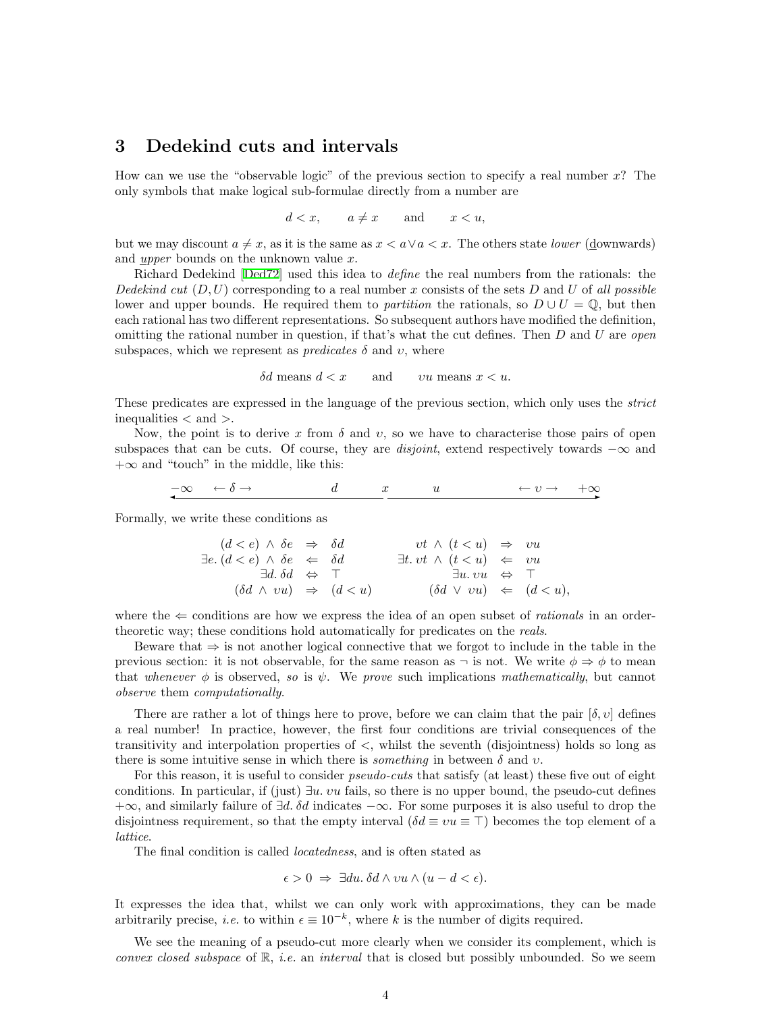#### <span id="page-3-0"></span>3 Dedekind cuts and intervals

How can we use the "observable logic" of the previous section to specify a real number x? The only symbols that make logical sub-formulae directly from a number are

$$
d < x, \qquad a \neq x \qquad \text{and} \qquad x < u,
$$

but we may discount  $a \neq x$ , as it is the same as  $x < a \vee a < x$ . The others state lower (downwards) and upper bounds on the unknown value  $x$ .

Richard Dedekind[[Ded72](#page-19-6)] used this idea to define the real numbers from the rationals: the Dedekind cut  $(D, U)$  corresponding to a real number x consists of the sets D and U of all possible lower and upper bounds. He required them to *partition* the rationals, so  $D \cup U = \mathbb{Q}$ , but then each rational has two different representations. So subsequent authors have modified the definition, omitting the rational number in question, if that's what the cut defines. Then  $D$  and  $U$  are *open* subspaces, which we represent as *predicates*  $\delta$  and  $\upsilon$ , where

 $\delta d$  means  $d < x$  and  $vu$  means  $x < u$ .

These predicates are expressed in the language of the previous section, which only uses the strict inequalities < and >.

Now, the point is to derive x from  $\delta$  and v, so we have to characterise those pairs of open subspaces that can be cuts. Of course, they are *disjoint*, extend respectively towards  $-\infty$  and  $+\infty$  and "touch" in the middle, like this:

$$
-\infty \leftarrow \delta \rightarrow
$$
  $d$   $x$   $u$   $\leftarrow v \rightarrow +\infty$ 

Formally, we write these conditions as

$$
(d < e) \land \delta e \Rightarrow \delta d \qquad \qquad vt \land (t < u) \Rightarrow vu
$$
  
\n
$$
\exists e. (d < e) \land \delta e \iff \delta d \qquad \qquad \exists t. vt \land (t < u) \iff vu
$$
  
\n
$$
\exists d. \delta d \iff \top \qquad \qquad \exists u. vu \iff \top
$$
  
\n
$$
(\delta d \land vu) \Rightarrow (d < u) \qquad (\delta d \lor vu) \iff (d < u),
$$

where the  $\Leftarrow$  conditions are how we express the idea of an open subset of *rationals* in an ordertheoretic way; these conditions hold automatically for predicates on the *reals*.

Beware that ⇒ is not another logical connective that we forgot to include in the table in the previous section: it is not observable, for the same reason as  $\neg$  is not. We write  $\phi \Rightarrow \phi$  to mean that whenever  $\phi$  is observed, so is  $\psi$ . We prove such implications mathematically, but cannot observe them computationally.

There are rather a lot of things here to prove, before we can claim that the pair  $[\delta, v]$  defines a real number! In practice, however, the first four conditions are trivial consequences of the transitivity and interpolation properties of <, whilst the seventh (disjointness) holds so long as there is some intuitive sense in which there is *something* in between  $\delta$  and  $\nu$ .

For this reason, it is useful to consider *pseudo-cuts* that satisfy (at least) these five out of eight conditions. In particular, if (just)  $\exists u. v u$  fails, so there is no upper bound, the pseudo-cut defines  $+\infty$ , and similarly failure of  $\exists d$ .  $\delta d$  indicates  $-\infty$ . For some purposes it is also useful to drop the disjointness requirement, so that the empty interval  $(\delta d \equiv vu \equiv \top)$  becomes the top element of a lattice.

The final condition is called locatedness, and is often stated as

$$
\epsilon > 0 \implies \exists du. \, \delta d \wedge vu \wedge (u - d < \epsilon).
$$

It expresses the idea that, whilst we can only work with approximations, they can be made arbitrarily precise, *i.e.* to within  $\epsilon \equiv 10^{-k}$ , where k is the number of digits required.

We see the meaning of a pseudo-cut more clearly when we consider its complement, which is *convex closed subspace* of  $\mathbb{R}$ , *i.e.* an *interval* that is closed but possibly unbounded. So we seem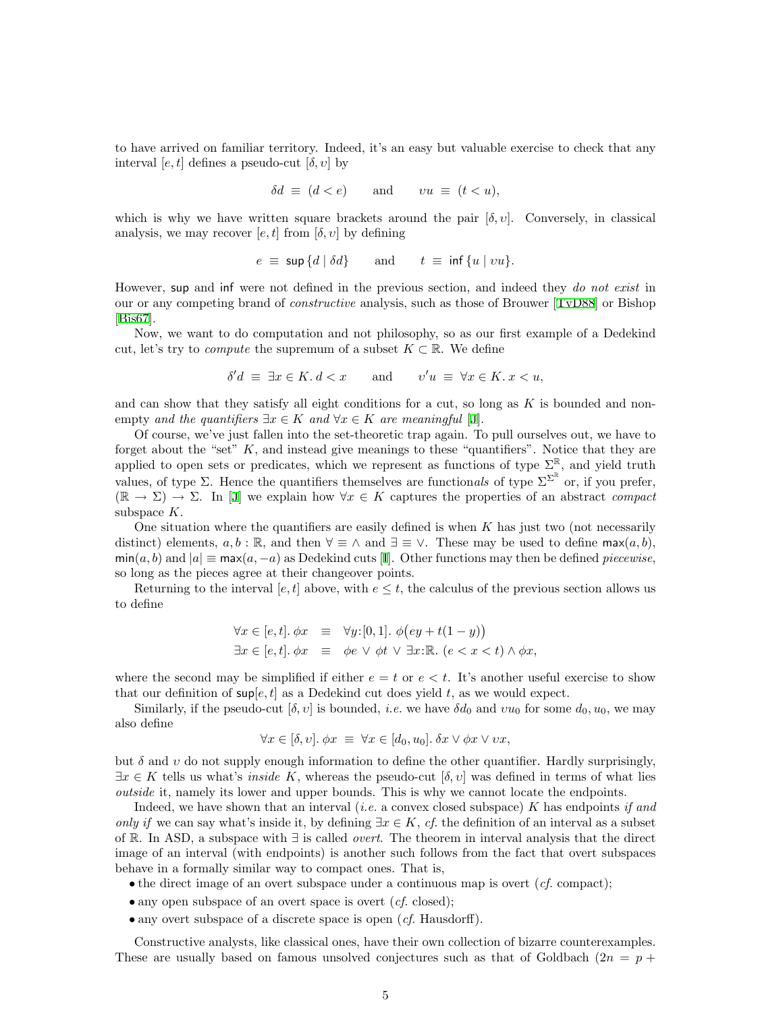to have arrived on familiar territory. Indeed, it's an easy but valuable exercise to check that any interval  $[e, t]$  defines a pseudo-cut  $[\delta, v]$  by

$$
\delta d \equiv (d < e) \qquad \text{and} \qquad vu \equiv (t < u),
$$

which is why we have written square brackets around the pair  $[\delta, v]$ . Conversely, in classical analysis, we may recover  $[e, t]$  from  $[\delta, v]$  by defining

$$
e \equiv \sup \{d \mid \delta d\}
$$
 and  $t \equiv \inf \{u \mid vu\}.$ 

However, sup and inf were not defined in the previous section, and indeed they do not exist in our or any competing brand of constructive analysis, such as those of Brouwer [\[TvD88](#page-19-7)] or Bishop [[Bis67](#page-19-8)].

Now, we want to do computation and not philosophy, so as our first example of a Dedekind cut, let's try to *compute* the supremum of a subset  $K \subset \mathbb{R}$ . We define

$$
\delta'd \equiv \exists x \in K. \, d < x \qquad \text{and} \qquad v'u \equiv \forall x \in K. \, x < u,
$$

and can show that they satisfy all eight conditions for a cut, so long as  $K$  is bounded and nonempty and the quantifiers  $\exists x \in K$  and  $\forall x \in K$  are meaningful [\[J](#page-20-1)].

Of course, we've just fallen into the set-theoretic trap again. To pull ourselves out, we have to forget about the "set"  $K$ , and instead give meanings to these "quantifiers". Notice that they are applied to open sets or predicates, which we represent as functions of type  $\Sigma^{\mathbb{R}}$ , and yield truth values, of type  $\Sigma$ . Hence the quantifiers themselves are functionals of type  $\Sigma^{\Sigma^{\mathbb{R}}}$  or, if you prefer,  $(\mathbb{R} \to \Sigma) \to \Sigma$ . In [\[J\]](#page-20-1) we explain how  $\forall x \in K$  captures the properties of an abstract *compact* subspace K.

One situation where the quantifiers are easily defined is when  $K$  has just two (not necessarily distinct) elements,  $a, b : \mathbb{R}$ , and then  $\forall \equiv \wedge$  and  $\exists \equiv \vee$ . These may be used to define max $(a, b)$ ,  $\min(a, b)$  $\min(a, b)$  $\min(a, b)$  and  $|a| \equiv \max(a, -a)$  as Dedekind cuts [[I](#page-20-5)]. Other functions may then be defined *piecewise*, so long as the pieces agree at their changeover points.

Returning to the interval [e, t] above, with  $e \leq t$ , the calculus of the previous section allows us to define

$$
\forall x \in [e, t]. \phi x \equiv \forall y: [0, 1]. \phi \big( ey + t(1 - y) \big)
$$
  

$$
\exists x \in [e, t]. \phi x \equiv \phi e \lor \phi t \lor \exists x: \mathbb{R}. \ (e < x < t) \land \phi x,
$$

where the second may be simplified if either  $e = t$  or  $e < t$ . It's another useful exercise to show that our definition of  $\sup[\epsilon, t]$  as a Dedekind cut does yield t, as we would expect.

Similarly, if the pseudo-cut  $[\delta, v]$  is bounded, *i.e.* we have  $\delta d_0$  and  $vu_0$  for some  $d_0, u_0$ , we may also define

$$
\forall x \in [\delta, v]. \ \phi x \ \equiv \ \forall x \in [d_0, u_0]. \ \delta x \vee \phi x \vee vx,
$$

but  $\delta$  and  $\nu$  do not supply enough information to define the other quantifier. Hardly surprisingly,  $\exists x \in K$  tells us what's *inside* K, whereas the pseudo-cut  $[\delta, v]$  was defined in terms of what lies outside it, namely its lower and upper bounds. This is why we cannot locate the endpoints.

Indeed, we have shown that an interval *(i.e.* a convex closed subspace) K has endpoints if and only if we can say what's inside it, by defining  $\exists x \in K$ , cf. the definition of an interval as a subset of R. In ASD, a subspace with ∃ is called overt. The theorem in interval analysis that the direct image of an interval (with endpoints) is another such follows from the fact that overt subspaces behave in a formally similar way to compact ones. That is,

- the direct image of an overt subspace under a continuous map is overt  $(cf. \text{ compact});$
- any open subspace of an overt space is overt  $(cf. closed);$
- any overt subspace of a discrete space is open (*cf.* Hausdorff).

Constructive analysts, like classical ones, have their own collection of bizarre counterexamples. These are usually based on famous unsolved conjectures such as that of Goldbach  $(2n = p +$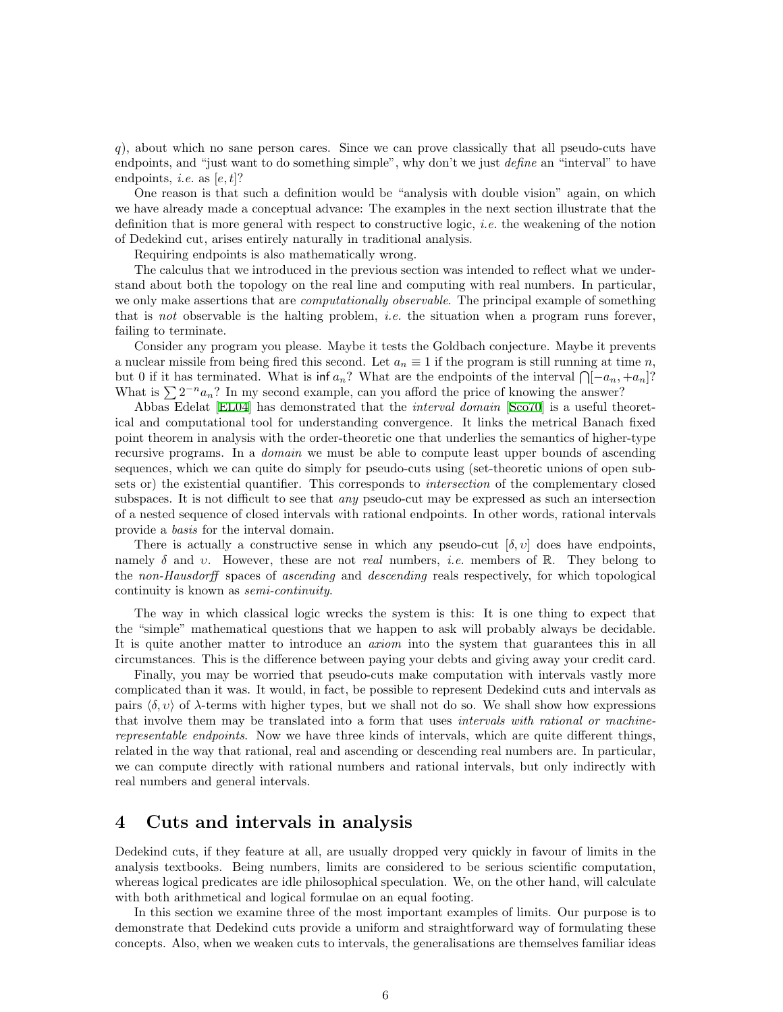q), about which no sane person cares. Since we can prove classically that all pseudo-cuts have endpoints, and "just want to do something simple", why don't we just *define* an "interval" to have endpoints, *i.e.* as  $[e, t]$ ?

One reason is that such a definition would be "analysis with double vision" again, on which we have already made a conceptual advance: The examples in the next section illustrate that the definition that is more general with respect to constructive logic, i.e. the weakening of the notion of Dedekind cut, arises entirely naturally in traditional analysis.

Requiring endpoints is also mathematically wrong.

The calculus that we introduced in the previous section was intended to reflect what we understand about both the topology on the real line and computing with real numbers. In particular, we only make assertions that are *computationally observable*. The principal example of something that is not observable is the halting problem, *i.e.* the situation when a program runs forever, failing to terminate.

Consider any program you please. Maybe it tests the Goldbach conjecture. Maybe it prevents a nuclear missile from being fired this second. Let  $a_n \equiv 1$  if the program is still running at time n, but 0 if it has terminated. What is  $\inf a_n$ ? What are the endpoints of the interval  $\bigcap [-a_n, +a_n]$ ? What is  $\sum 2^{-n} a_n$ ? In my second example, can you afford the price of knowing the answer?

Abbas Edelat [\[EL04](#page-19-5)] has demonstrated that the *interval domain* [[Sco70\]](#page-19-4) is a useful theoretical and computational tool for understanding convergence. It links the metrical Banach fixed point theorem in analysis with the order-theoretic one that underlies the semantics of higher-type recursive programs. In a *domain* we must be able to compute least upper bounds of ascending sequences, which we can quite do simply for pseudo-cuts using (set-theoretic unions of open subsets or) the existential quantifier. This corresponds to *intersection* of the complementary closed subspaces. It is not difficult to see that *any* pseudo-cut may be expressed as such an intersection of a nested sequence of closed intervals with rational endpoints. In other words, rational intervals provide a basis for the interval domain.

There is actually a constructive sense in which any pseudo-cut  $[\delta, v]$  does have endpoints, namely  $\delta$  and v. However, these are not *real* numbers, *i.e.* members of R. They belong to the non-Hausdorff spaces of ascending and descending reals respectively, for which topological continuity is known as semi-continuity.

The way in which classical logic wrecks the system is this: It is one thing to expect that the "simple" mathematical questions that we happen to ask will probably always be decidable. It is quite another matter to introduce an *axiom* into the system that guarantees this in all circumstances. This is the difference between paying your debts and giving away your credit card.

Finally, you may be worried that pseudo-cuts make computation with intervals vastly more complicated than it was. It would, in fact, be possible to represent Dedekind cuts and intervals as pairs  $\langle \delta, v \rangle$  of  $\lambda$ -terms with higher types, but we shall not do so. We shall show how expressions that involve them may be translated into a form that uses intervals with rational or machinerepresentable endpoints. Now we have three kinds of intervals, which are quite different things, related in the way that rational, real and ascending or descending real numbers are. In particular, we can compute directly with rational numbers and rational intervals, but only indirectly with real numbers and general intervals.

#### <span id="page-5-0"></span>4 Cuts and intervals in analysis

Dedekind cuts, if they feature at all, are usually dropped very quickly in favour of limits in the analysis textbooks. Being numbers, limits are considered to be serious scientific computation, whereas logical predicates are idle philosophical speculation. We, on the other hand, will calculate with both arithmetical and logical formulae on an equal footing.

In this section we examine three of the most important examples of limits. Our purpose is to demonstrate that Dedekind cuts provide a uniform and straightforward way of formulating these concepts. Also, when we weaken cuts to intervals, the generalisations are themselves familiar ideas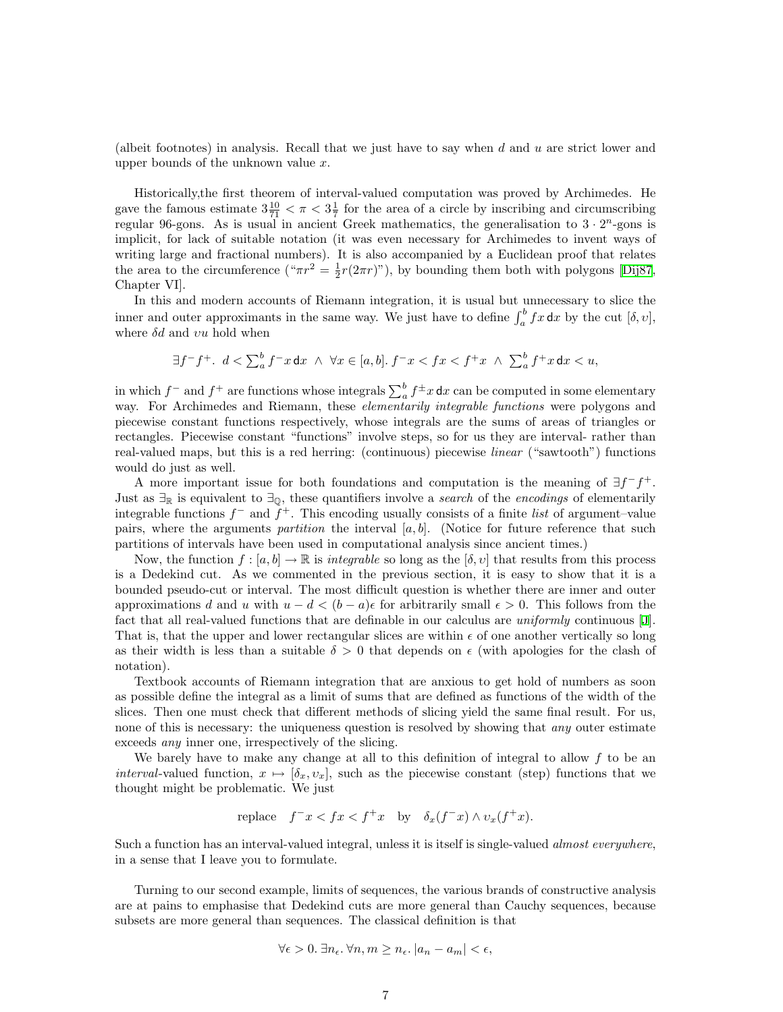(albeit footnotes) in analysis. Recall that we just have to say when d and u are strict lower and upper bounds of the unknown value  $x$ .

Historically,the first theorem of interval-valued computation was proved by Archimedes. He gave the famous estimate  $3\frac{10}{71} < \pi < 3\frac{1}{7}$  for the area of a circle by inscribing and circumscribing regular 96-gons. As is usual in ancient Greek mathematics, the generalisation to  $3 \cdot 2^n$ -gons is implicit, for lack of suitable notation (it was even necessary for Archimedes to invent ways of writing large and fractional numbers). It is also accompanied by a Euclidean proof that relates thearea to the circumference (" $\pi r^2 = \frac{1}{2}r(2\pi r)$ "), by bounding them both with polygons [[Dij87](#page-19-9), Chapter VI].

In this and modern accounts of Riemann integration, it is usual but unnecessary to slice the inner and outer approximants in the same way. We just have to define  $\int_a^b fx \, dx$  by the cut  $[\delta, v]$ , where  $\delta d$  and  $vu$  hold when

$$
\exists f^- f^+.\;\; d<\textstyle\sum_a^b f^-x\,\mathrm{d} x\;\wedge\;\forall x\in[a,b].\; f^-x
$$

in which  $f^-$  and  $f^+$  are functions whose integrals  $\sum_a^b f^{\pm}x \, dx$  can be computed in some elementary way. For Archimedes and Riemann, these *elementarily integrable functions* were polygons and piecewise constant functions respectively, whose integrals are the sums of areas of triangles or rectangles. Piecewise constant "functions" involve steps, so for us they are interval- rather than real-valued maps, but this is a red herring: (continuous) piecewise linear ("sawtooth") functions would do just as well.

A more important issue for both foundations and computation is the meaning of  $\exists f^- f^+$ . Just as  $\exists_{\mathbb{R}}$  is equivalent to  $\exists_{\mathbb{Q}}$ , these quantifiers involve a *search* of the *encodings* of elementarily integrable functions  $f^-$  and  $\tilde{f}^+$ . This encoding usually consists of a finite list of argument–value pairs, where the arguments partition the interval  $[a, b]$ . (Notice for future reference that such partitions of intervals have been used in computational analysis since ancient times.)

Now, the function  $f : [a, b] \to \mathbb{R}$  is *integrable* so long as the  $[\delta, v]$  that results from this process is a Dedekind cut. As we commented in the previous section, it is easy to show that it is a bounded pseudo-cut or interval. The most difficult question is whether there are inner and outer approximations d and u with  $u - d < (b - a)\epsilon$  for arbitrarily small  $\epsilon > 0$ . This follows from the fact that all real-valued functions that are definable in our calculus are *uniformly* continuous [\[J](#page-20-1)]. That is, that the upper and lower rectangular slices are within  $\epsilon$  of one another vertically so long as their width is less than a suitable  $\delta > 0$  that depends on  $\epsilon$  (with apologies for the clash of notation).

Textbook accounts of Riemann integration that are anxious to get hold of numbers as soon as possible define the integral as a limit of sums that are defined as functions of the width of the slices. Then one must check that different methods of slicing yield the same final result. For us, none of this is necessary: the uniqueness question is resolved by showing that *any* outer estimate exceeds any inner one, irrespectively of the slicing.

We barely have to make any change at all to this definition of integral to allow  $f$  to be an interval-valued function,  $x \mapsto [\delta_x, v_x]$ , such as the piecewise constant (step) functions that we thought might be problematic. We just

replace 
$$
f^{-}x < fx < f^{+}x
$$
 by  $\delta_x(f^{-}x) \wedge v_x(f^{+}x)$ .

Such a function has an interval-valued integral, unless it is itself is single-valued *almost everywhere*, in a sense that I leave you to formulate.

Turning to our second example, limits of sequences, the various brands of constructive analysis are at pains to emphasise that Dedekind cuts are more general than Cauchy sequences, because subsets are more general than sequences. The classical definition is that

$$
\forall \epsilon > 0. \ \exists n_{\epsilon}.\ \forall n, m \ge n_{\epsilon}. \ |a_n - a_m| < \epsilon,
$$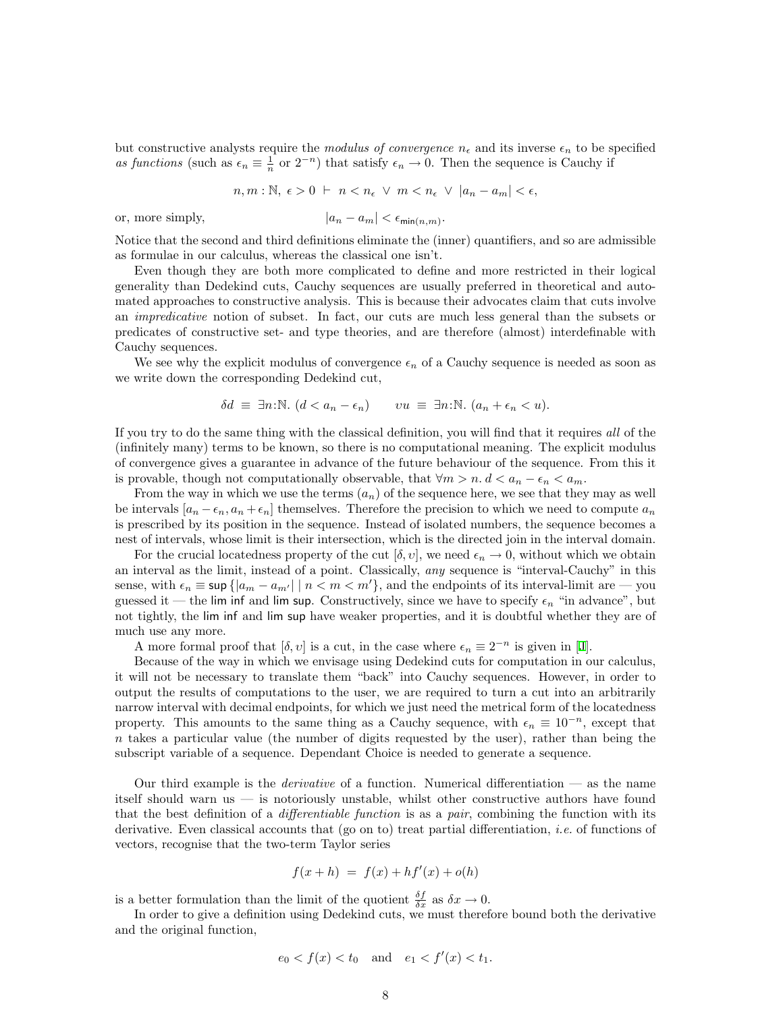but constructive analysts require the modulus of convergence  $n_{\epsilon}$  and its inverse  $\epsilon_n$  to be specified as functions (such as  $\epsilon_n \equiv \frac{1}{n}$  or  $2^{-n}$ ) that satisfy  $\epsilon_n \to 0$ . Then the sequence is Cauchy if

$$
n, m : \mathbb{N}, \epsilon > 0 \ \vdash \ n < n_{\epsilon} \ \lor \ m < n_{\epsilon} \ \lor \ |a_n - a_m| < \epsilon,
$$

or, more simply,  $|a_n - a_m| < \epsilon_{\min(n,m)}$ .

Notice that the second and third definitions eliminate the (inner) quantifiers, and so are admissible as formulae in our calculus, whereas the classical one isn't.

Even though they are both more complicated to define and more restricted in their logical generality than Dedekind cuts, Cauchy sequences are usually preferred in theoretical and automated approaches to constructive analysis. This is because their advocates claim that cuts involve an impredicative notion of subset. In fact, our cuts are much less general than the subsets or predicates of constructive set- and type theories, and are therefore (almost) interdefinable with Cauchy sequences.

We see why the explicit modulus of convergence  $\epsilon_n$  of a Cauchy sequence is needed as soon as we write down the corresponding Dedekind cut,

$$
\delta d \equiv \exists n: \mathbb{N}. \ (d < a_n - \epsilon_n) \qquad vu \equiv \exists n: \mathbb{N}. \ (a_n + \epsilon_n < u).
$$

If you try to do the same thing with the classical definition, you will find that it requires all of the (infinitely many) terms to be known, so there is no computational meaning. The explicit modulus of convergence gives a guarantee in advance of the future behaviour of the sequence. From this it is provable, though not computationally observable, that  $\forall m > n$ .  $d < a_n - \epsilon_n < a_m$ .

From the way in which we use the terms  $(a_n)$  of the sequence here, we see that they may as well be intervals  $[a_n - \epsilon_n, a_n + \epsilon_n]$  themselves. Therefore the precision to which we need to compute  $a_n$ is prescribed by its position in the sequence. Instead of isolated numbers, the sequence becomes a nest of intervals, whose limit is their intersection, which is the directed join in the interval domain.

For the crucial locatedness property of the cut  $[\delta, v]$ , we need  $\epsilon_n \to 0$ , without which we obtain an interval as the limit, instead of a point. Classically, any sequence is "interval-Cauchy" in this sense, with  $\epsilon_n \equiv \sup \{|a_m - a_{m'}| \mid n < m < m'\}$ , and the endpoints of its interval-limit are — you guessed it — the lim inf and lim sup. Constructively, since we have to specify  $\epsilon_n$  "in advance", but not tightly, the lim inf and lim sup have weaker properties, and it is doubtful whether they are of much use any more.

Amore formal proof that  $[\delta, v]$  is a cut, in the case where  $\epsilon_n \equiv 2^{-n}$  is given in [[J](#page-20-1)].

Because of the way in which we envisage using Dedekind cuts for computation in our calculus, it will not be necessary to translate them "back" into Cauchy sequences. However, in order to output the results of computations to the user, we are required to turn a cut into an arbitrarily narrow interval with decimal endpoints, for which we just need the metrical form of the locatedness property. This amounts to the same thing as a Cauchy sequence, with  $\epsilon_n \equiv 10^{-n}$ , except that  $n$  takes a particular value (the number of digits requested by the user), rather than being the subscript variable of a sequence. Dependant Choice is needed to generate a sequence.

Our third example is the *derivative* of a function. Numerical differentiation  $\sim$  as the name itself should warn us — is notoriously unstable, whilst other constructive authors have found that the best definition of a *differentiable function* is as a *pair*, combining the function with its derivative. Even classical accounts that (go on to) treat partial differentiation, *i.e.* of functions of vectors, recognise that the two-term Taylor series

$$
f(x+h) = f(x) + hf'(x) + o(h)
$$

is a better formulation than the limit of the quotient  $\frac{\delta f}{\delta x}$  as  $\delta x \to 0$ .

In order to give a definition using Dedekind cuts, we must therefore bound both the derivative and the original function,

$$
e_0 < f(x) < t_0
$$
 and  $e_1 < f'(x) < t_1$ .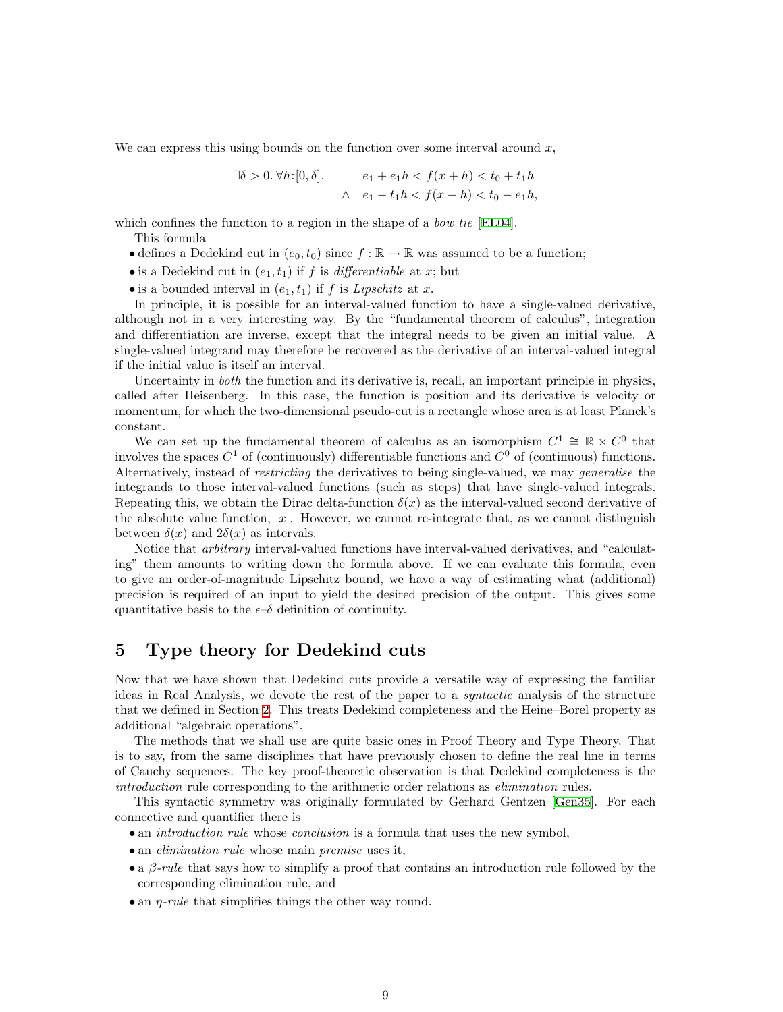We can express this using bounds on the function over some interval around  $x$ ,

$$
\exists \delta > 0. \,\forall h: [0, \delta]. \quad e_1 + e_1 h < f(x+h) < t_0 + t_1 h
$$
\n
$$
\land \quad e_1 - t_1 h < f(x-h) < t_0 - e_1 h,
$$

which confines the function to a region in the shape of a *bow tie* [\[EL04](#page-19-5)].

This formula

- defines a Dedekind cut in  $(e_0, t_0)$  since  $f : \mathbb{R} \to \mathbb{R}$  was assumed to be a function;
- is a Dedekind cut in  $(e_1, t_1)$  if f is *differentiable* at x; but
- is a bounded interval in  $(e_1, t_1)$  if f is Lipschitz at x.

In principle, it is possible for an interval-valued function to have a single-valued derivative, although not in a very interesting way. By the "fundamental theorem of calculus", integration and differentiation are inverse, except that the integral needs to be given an initial value. A single-valued integrand may therefore be recovered as the derivative of an interval-valued integral if the initial value is itself an interval.

Uncertainty in *both* the function and its derivative is, recall, an important principle in physics, called after Heisenberg. In this case, the function is position and its derivative is velocity or momentum, for which the two-dimensional pseudo-cut is a rectangle whose area is at least Planck's constant.

We can set up the fundamental theorem of calculus as an isomorphism  $C^1 \cong \mathbb{R} \times C^0$  that involves the spaces  $C^1$  of (continuously) differentiable functions and  $C^0$  of (continuous) functions. Alternatively, instead of restricting the derivatives to being single-valued, we may generalise the integrands to those interval-valued functions (such as steps) that have single-valued integrals. Repeating this, we obtain the Dirac delta-function  $\delta(x)$  as the interval-valued second derivative of the absolute value function,  $|x|$ . However, we cannot re-integrate that, as we cannot distinguish between  $\delta(x)$  and  $2\delta(x)$  as intervals.

Notice that arbitrary interval-valued functions have interval-valued derivatives, and "calculating" them amounts to writing down the formula above. If we can evaluate this formula, even to give an order-of-magnitude Lipschitz bound, we have a way of estimating what (additional) precision is required of an input to yield the desired precision of the output. This gives some quantitative basis to the  $\epsilon$ - $\delta$  definition of continuity.

#### 5 Type theory for Dedekind cuts

Now that we have shown that Dedekind cuts provide a versatile way of expressing the familiar ideas in Real Analysis, we devote the rest of the paper to a syntactic analysis of the structure that we defined in Section [2.](#page-1-0) This treats Dedekind completeness and the Heine–Borel property as additional "algebraic operations".

The methods that we shall use are quite basic ones in Proof Theory and Type Theory. That is to say, from the same disciplines that have previously chosen to define the real line in terms of Cauchy sequences. The key proof-theoretic observation is that Dedekind completeness is the introduction rule corresponding to the arithmetic order relations as elimination rules.

This syntactic symmetry was originally formulated by Gerhard Gentzen [\[Gen35\]](#page-19-10). For each connective and quantifier there is

- an *introduction rule* whose *conclusion* is a formula that uses the new symbol,
- an *elimination rule* whose main *premise* uses it,
- a  $\beta$ -rule that says how to simplify a proof that contains an introduction rule followed by the corresponding elimination rule, and
- an  $\eta$ -rule that simplifies things the other way round.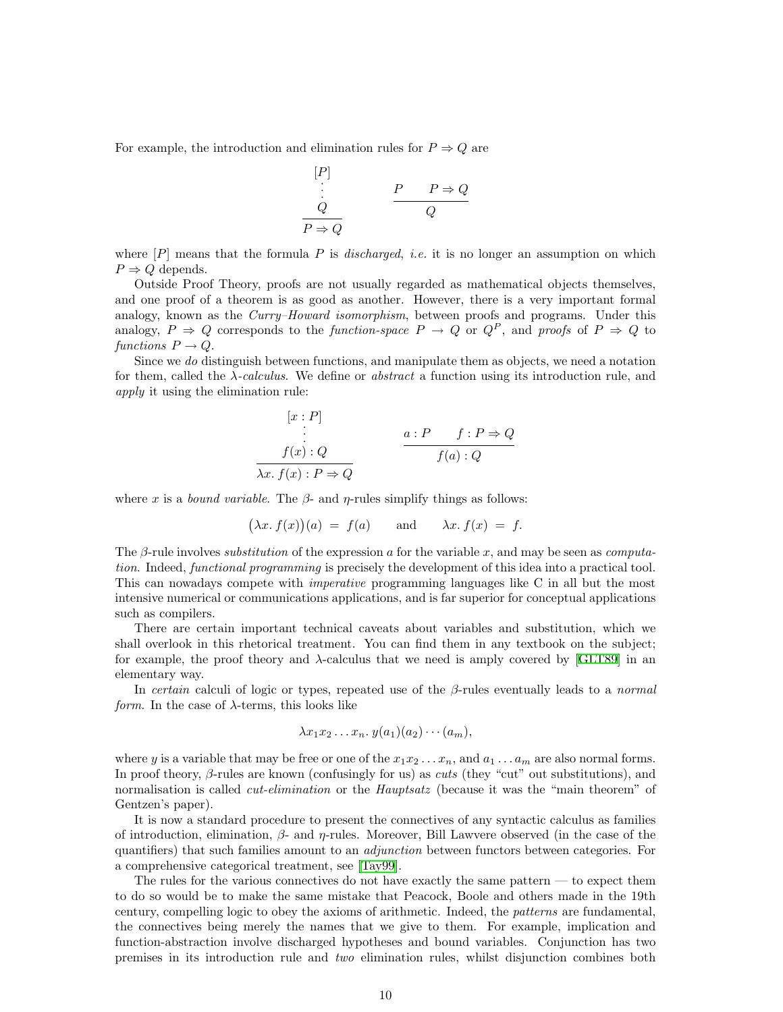For example, the introduction and elimination rules for  $P \Rightarrow Q$  are

$$
\begin{array}{c}\n[P] \\
\vdots \\
Q\n\end{array}\n\qquad\n\begin{array}{c}\nP & P \Rightarrow Q \\
\hline\nQ\n\end{array}
$$

where  $[P]$  means that the formula P is *discharged, i.e.* it is no longer an assumption on which  $P \Rightarrow Q$  depends.

Outside Proof Theory, proofs are not usually regarded as mathematical objects themselves, and one proof of a theorem is as good as another. However, there is a very important formal analogy, known as the Curry–Howard isomorphism, between proofs and programs. Under this analogy,  $P \Rightarrow Q$  corresponds to the function-space  $P \rightarrow Q$  or  $Q^P$ , and proofs of  $P \Rightarrow Q$  to functions  $P \to Q$ .

Since we do distinguish between functions, and manipulate them as objects, we need a notation for them, called the  $\lambda$ -calculus. We define or abstract a function using its introduction rule, and apply it using the elimination rule:

$$
[x : P]
$$
  
\n
$$
\vdots
$$
  
\n
$$
f(x) : Q
$$
  
\n
$$
\frac{a : P \quad f : P \Rightarrow Q}{f(a) : Q}
$$
  
\n
$$
f(a) : Q
$$

where x is a *bound variable*. The  $\beta$ - and  $\eta$ -rules simplify things as follows:

$$
(\lambda x. f(x))(a) = f(a)
$$
 and  $\lambda x. f(x) = f.$ 

The β-rule involves *substitution* of the expression a for the variable x, and may be seen as *computa*tion. Indeed, functional programming is precisely the development of this idea into a practical tool. This can nowadays compete with imperative programming languages like C in all but the most intensive numerical or communications applications, and is far superior for conceptual applications such as compilers.

There are certain important technical caveats about variables and substitution, which we shall overlook in this rhetorical treatment. You can find them in any textbook on the subject; forexample, the proof theory and  $\lambda$ -calculus that we need is amply covered by [[GLT89\]](#page-19-11) in an elementary way.

In certain calculi of logic or types, repeated use of the  $\beta$ -rules eventually leads to a normal form. In the case of  $\lambda$ -terms, this looks like

$$
\lambda x_1 x_2 \ldots x_n \ldotp y(a_1)(a_2) \cdots (a_m),
$$

where y is a variable that may be free or one of the  $x_1x_2 \ldots x_n$ , and  $a_1 \ldots a_m$  are also normal forms. In proof theory,  $\beta$ -rules are known (confusingly for us) as *cuts* (they "cut" out substitutions), and normalisation is called *cut-elimination* or the *Hauptsatz* (because it was the "main theorem" of Gentzen's paper).

It is now a standard procedure to present the connectives of any syntactic calculus as families of introduction, elimination,  $\beta$ - and  $\eta$ -rules. Moreover, Bill Lawvere observed (in the case of the quantifiers) that such families amount to an adjunction between functors between categories. For a comprehensive categorical treatment, see[[Tay99\]](#page-19-12).

The rules for the various connectives do not have exactly the same pattern — to expect them to do so would be to make the same mistake that Peacock, Boole and others made in the 19th century, compelling logic to obey the axioms of arithmetic. Indeed, the patterns are fundamental, the connectives being merely the names that we give to them. For example, implication and function-abstraction involve discharged hypotheses and bound variables. Conjunction has two premises in its introduction rule and two elimination rules, whilst disjunction combines both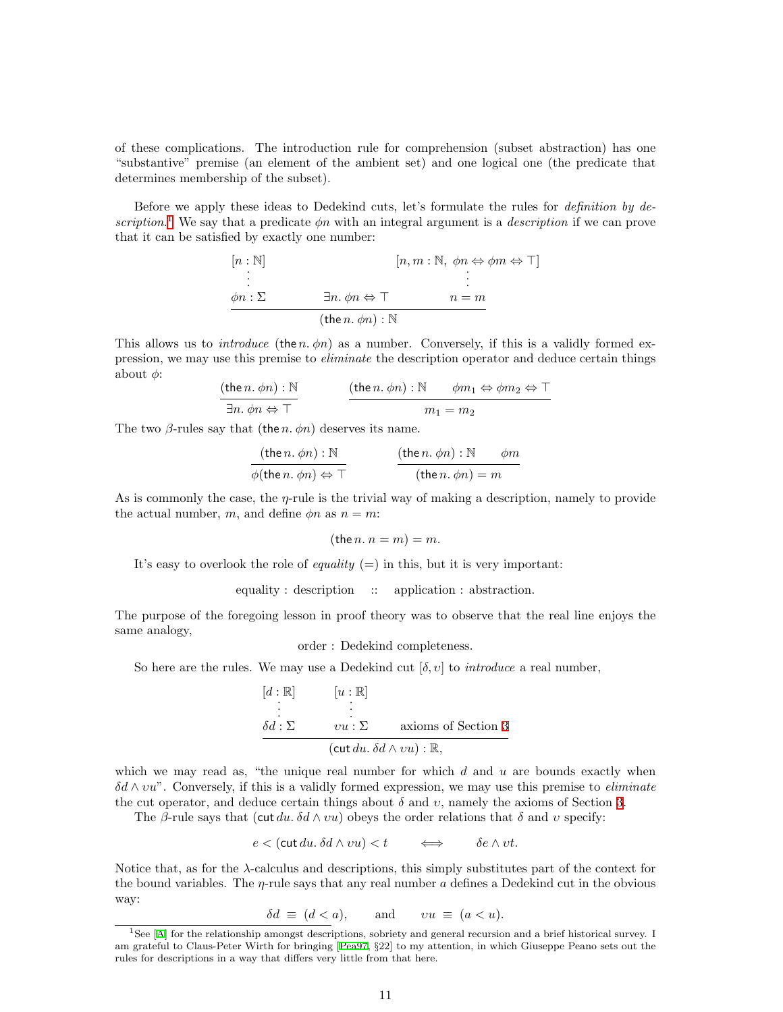of these complications. The introduction rule for comprehension (subset abstraction) has one "substantive" premise (an element of the ambient set) and one logical one (the predicate that determines membership of the subset).

Before we apply these ideas to Dedekind cuts, let's formulate the rules for definition by de-scription.<sup>[1](#page-10-0)</sup> We say that a predicate  $\phi n$  with an integral argument is a *description* if we can prove that it can be satisfied by exactly one number:

$$
[n, m : \mathbb{N}, \phi n \Leftrightarrow \phi m \Leftrightarrow \top]
$$
  
\n
$$
\vdots
$$
  
\n
$$
\phi n : \Sigma
$$
  
\n
$$
\exists n. \phi n \Leftrightarrow \top
$$
  
\n
$$
(the n. \phi n) : \mathbb{N}
$$

This allows us to *introduce* (the n.  $\phi$ n) as a number. Conversely, if this is a validly formed expression, we may use this premise to eliminate the description operator and deduce certain things about  $\phi$ :

$$
\frac{(\text{the } n, \phi n) : \mathbb{N}}{\exists n, \phi n \Leftrightarrow \top}
$$
\n
$$
\frac{(\text{the } n, \phi n) : \mathbb{N} \qquad \phi m_1 \Leftrightarrow \phi m_2 \Leftrightarrow \top}{m_1 = m_2}
$$

The two  $\beta$ -rules say that (the *n*.  $\phi$ *n*) deserves its name.

$$
\frac{(\text{the } n. \phi n) : \mathbb{N}}{\phi(\text{the } n. \phi n) \Leftrightarrow \top}
$$
\n
$$
\frac{(\text{the } n. \phi n) : \mathbb{N} \qquad \phi m}{(\text{the } n. \phi n) = m}
$$

As is commonly the case, the  $\eta$ -rule is the trivial way of making a description, namely to provide the actual number, m, and define  $\phi n$  as  $n = m$ :

$$
(\text{the } n. n = m) = m.
$$

It's easy to overlook the role of *equality*  $(=)$  in this, but it is very important:

equality : description :: application : abstraction.

The purpose of the foregoing lesson in proof theory was to observe that the real line enjoys the same analogy,

order : Dedekind completeness.

So here are the rules. We may use a Dedekind cut  $[\delta, v]$  to *introduce* a real number,

$$
[d : \mathbb{R}] \qquad [u : \mathbb{R}]
$$
  
\n
$$
\vdots
$$
  
\n
$$
\delta d : \Sigma \qquad vu : \Sigma \qquad \text{axioms of Section 3}
$$
  
\n
$$
(\text{cut } du, \delta d \wedge vu) : \mathbb{R},
$$

which we may read as, "the unique real number for which  $d$  and  $u$  are bounds exactly when  $\delta d \wedge vu^{\nu}$ . Conversely, if this is a validly formed expression, we may use this premise to *eliminate* the cut operator, and deduce certain things about  $\delta$  and  $v$ , namely the axioms of Section [3](#page-3-0).

The β-rule says that (cut du.  $\delta d \wedge vu$ ) obeys the order relations that  $\delta$  and v specify:

$$
e < (\text{cut } du. \, \delta d \wedge vu) < t \qquad \Longleftrightarrow \qquad \delta e \wedge vt.
$$

Notice that, as for the λ-calculus and descriptions, this simply substitutes part of the context for the bound variables. The  $\eta$ -rule says that any real number a defines a Dedekind cut in the obvious way:

$$
\delta d \equiv (d < a), \qquad \text{and} \qquad vu \equiv (a < u).
$$

<span id="page-10-0"></span><sup>1</sup>See [\[A\]](#page-20-2) for the relationship amongst descriptions, sobriety and general recursion and a brief historical survey. I am grateful to Claus-Peter Wirth for bringing[[Pea97,](#page-19-13) §22] to my attention, in which Giuseppe Peano sets out the rules for descriptions in a way that differs very little from that here.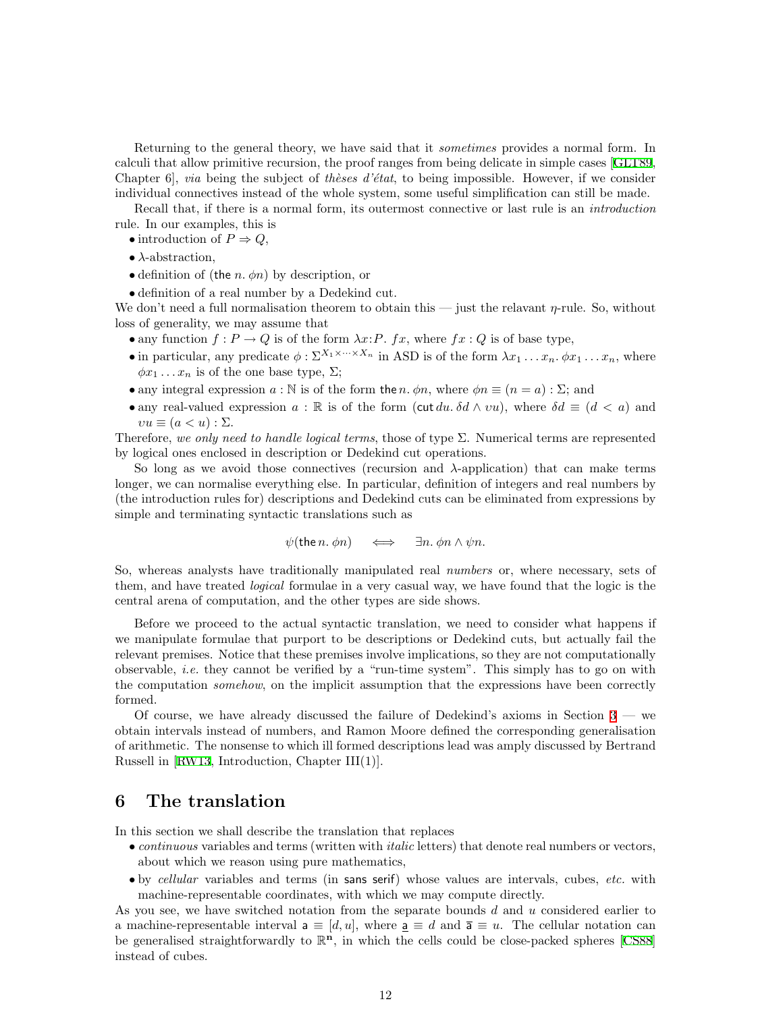Returning to the general theory, we have said that it sometimes provides a normal form. In calculi that allow primitive recursion, the proof ranges from being delicate in simple cases[[GLT89](#page-19-11), Chapter 6, via being the subject of the sesse d'état, to being impossible. However, if we consider individual connectives instead of the whole system, some useful simplification can still be made.

Recall that, if there is a normal form, its outermost connective or last rule is an *introduction* rule. In our examples, this is

- introduction of  $P \Rightarrow Q$ ,
- $\bullet$   $\lambda$ -abstraction,
- definition of (the *n*.  $\phi$ *n*) by description, or
- definition of a real number by a Dedekind cut.

We don't need a full normalisation theorem to obtain this — just the relavant  $\eta$ -rule. So, without loss of generality, we may assume that

- any function  $f: P \to Q$  is of the form  $\lambda x: P$ .  $fx$ , where  $fx: Q$  is of base type,
- in particular, any predicate  $\phi : \Sigma^{X_1 \times \cdots \times X_n}$  in ASD is of the form  $\lambda x_1 \ldots x_n$ ,  $\phi x_1 \ldots x_n$ , where  $\phi x_1 \dots x_n$  is of the one base type,  $\Sigma$ ;
- any integral expression  $a : \mathbb{N}$  is of the form the n.  $\phi n$ , where  $\phi n \equiv (n = a) : \Sigma$ ; and
- any real-valued expression  $a : \mathbb{R}$  is of the form (cut du.  $\delta d \wedge vu$ ), where  $\delta d \equiv (d \langle a \rangle)$  and  $vu \equiv (a < u) : \Sigma.$

Therefore, we only need to handle logical terms, those of type  $\Sigma$ . Numerical terms are represented by logical ones enclosed in description or Dedekind cut operations.

So long as we avoid those connectives (recursion and  $\lambda$ -application) that can make terms longer, we can normalise everything else. In particular, definition of integers and real numbers by (the introduction rules for) descriptions and Dedekind cuts can be eliminated from expressions by simple and terminating syntactic translations such as

$$
\psi(\text{the } n. \phi n) \quad \iff \quad \exists n. \phi n \wedge \psi n.
$$

So, whereas analysts have traditionally manipulated real *numbers* or, where necessary, sets of them, and have treated *logical* formulae in a very casual way, we have found that the logic is the central arena of computation, and the other types are side shows.

Before we proceed to the actual syntactic translation, we need to consider what happens if we manipulate formulae that purport to be descriptions or Dedekind cuts, but actually fail the relevant premises. Notice that these premises involve implications, so they are not computationally observable, i.e. they cannot be verified by a "run-time system". This simply has to go on with the computation *somehow*, on the implicit assumption that the expressions have been correctly formed.

Of course, we have already discussed the failure of Dedekind's axioms in Section  $3$  — we obtain intervals instead of numbers, and Ramon Moore defined the corresponding generalisation of arithmetic. The nonsense to which ill formed descriptions lead was amply discussed by Bertrand Russell in [\[RW13,](#page-19-14) Introduction, Chapter III(1)].

#### <span id="page-11-0"></span>6 The translation

In this section we shall describe the translation that replaces

- *continuous* variables and terms (written with *italic* letters) that denote real numbers or vectors, about which we reason using pure mathematics,
- by cellular variables and terms (in sans serif) whose values are intervals, cubes, etc. with machine-representable coordinates, with which we may compute directly.

As you see, we have switched notation from the separate bounds d and u considered earlier to a machine-representable interval  $a \equiv [d, u]$ , where  $\underline{a} \equiv d$  and  $\overline{a} \equiv u$ . The cellular notation can begeneralised straightforwardly to  $\mathbb{R}^n$ , in which the cells could be close-packed spheres [[CS88](#page-19-15)] instead of cubes.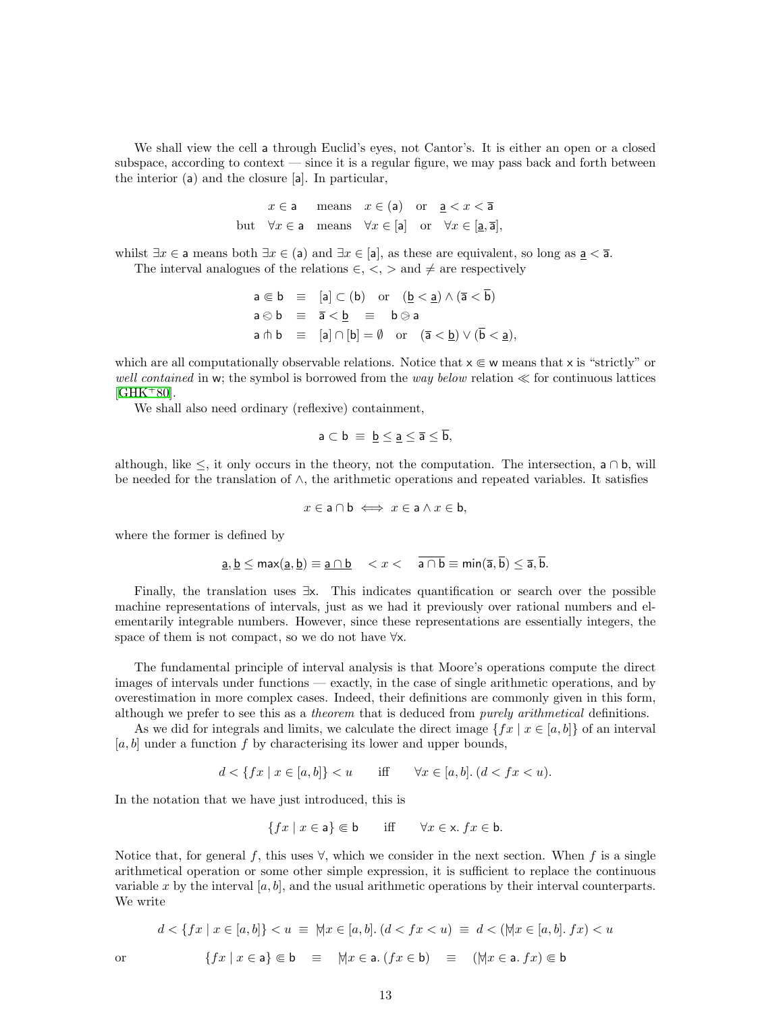We shall view the cell a through Euclid's eyes, not Cantor's. It is either an open or a closed subspace, according to context  $\frac{1}{1}$  is a regular figure, we may pass back and forth between the interior (a) and the closure [a]. In particular,

> $x \in \mathsf{a}$  means  $x \in (\mathsf{a})$  or  $\mathsf{a} < x < \overline{\mathsf{a}}$ but  $\forall x \in \mathsf{a}$  means  $\forall x \in [\mathsf{a}]$  or  $\forall x \in [\mathsf{a}, \overline{\mathsf{a}}]$ ,

whilst  $\exists x \in \mathsf{a}$  means both  $\exists x \in (\mathsf{a})$  and  $\exists x \in [\mathsf{a}]$ , as these are equivalent, so long as  $\underline{\mathsf{a}} < \overline{\mathsf{a}}$ . The interval analogues of the relations  $\in, \leq, >$  and  $\neq$  are respectively

$$
a \in b \equiv [a] \subset (b) \text{ or } (\underline{b} < \underline{a}) \wedge (\overline{a} < \overline{b})
$$
\n
$$
a \otimes b \equiv \overline{a} < \underline{b} \equiv b \otimes a
$$
\n
$$
a \pitchfork b \equiv [a] \cap [b] = \emptyset \text{ or } (\overline{a} < \underline{b}) \vee (\overline{b} < \underline{a}),
$$

which are all computationally observable relations. Notice that  $x \in \mathbf{w}$  means that x is "strictly" or well contained in w; the symbol is borrowed from the way below relation  $\ll$  for continuous lattices  $[GHK+80].$  $[GHK+80].$  $[GHK+80].$ 

We shall also need ordinary (reflexive) containment,

$$
\mathsf a\subset \mathsf b\ \equiv\ \underline{\mathsf b\leq \underline{\mathsf a\leq \overline{\mathsf a}\leq \overline{\mathsf b}},
$$

although, like  $\leq$ , it only occurs in the theory, not the computation. The intersection, a ∩ b, will be needed for the translation of ∧, the arithmetic operations and repeated variables. It satisfies

$$
x \in \mathsf{a} \cap \mathsf{b} \iff x \in \mathsf{a} \land x \in \mathsf{b},
$$

where the former is defined by

$$
\underline{\mathsf{a}}, \underline{\mathsf{b}} \le \max(\underline{\mathsf{a}}, \underline{\mathsf{b}}) \equiv \underline{\mathsf{a} \cap \mathsf{b}} \quad
$$

Finally, the translation uses ∃x. This indicates quantification or search over the possible machine representations of intervals, just as we had it previously over rational numbers and elementarily integrable numbers. However, since these representations are essentially integers, the space of them is not compact, so we do not have ∀x.

The fundamental principle of interval analysis is that Moore's operations compute the direct images of intervals under functions — exactly, in the case of single arithmetic operations, and by overestimation in more complex cases. Indeed, their definitions are commonly given in this form, although we prefer to see this as a *theorem* that is deduced from *purely arithmetical* definitions.

As we did for integrals and limits, we calculate the direct image  $\{fx \mid x \in [a, b]\}$  of an interval  $[a, b]$  under a function f by characterising its lower and upper bounds,

$$
d < \{ fx \mid x \in [a, b] \} < u \qquad \text{iff} \qquad \forall x \in [a, b]. \ (d < fx < u).
$$

In the notation that we have just introduced, this is

$$
\{fx \mid x \in \mathsf{a}\} \Subset \mathsf{b} \qquad \text{iff} \qquad \forall x \in \mathsf{x}. \; fx \in \mathsf{b}.
$$

Notice that, for general f, this uses  $\forall$ , which we consider in the next section. When f is a single arithmetical operation or some other simple expression, it is sufficient to replace the continuous variable x by the interval  $[a, b]$ , and the usual arithmetic operations by their interval counterparts. We write

$$
d < \{ fx \mid x \in [a, b] \} < u \equiv \forall \{ x \in [a, b] \colon (d < fx < u) \equiv d < (\forall \{ x \in [a, b] \colon fx) < u \}
$$
\nor

\n
$$
\{ fx \mid x \in \mathsf{a} \} \Subset \mathsf{b} \equiv \forall \{ x \in \mathsf{a} \colon (fx \in \mathsf{b}) \equiv (\forall \{ x \in \mathsf{a} \colon fx) \in \mathsf{b} \}
$$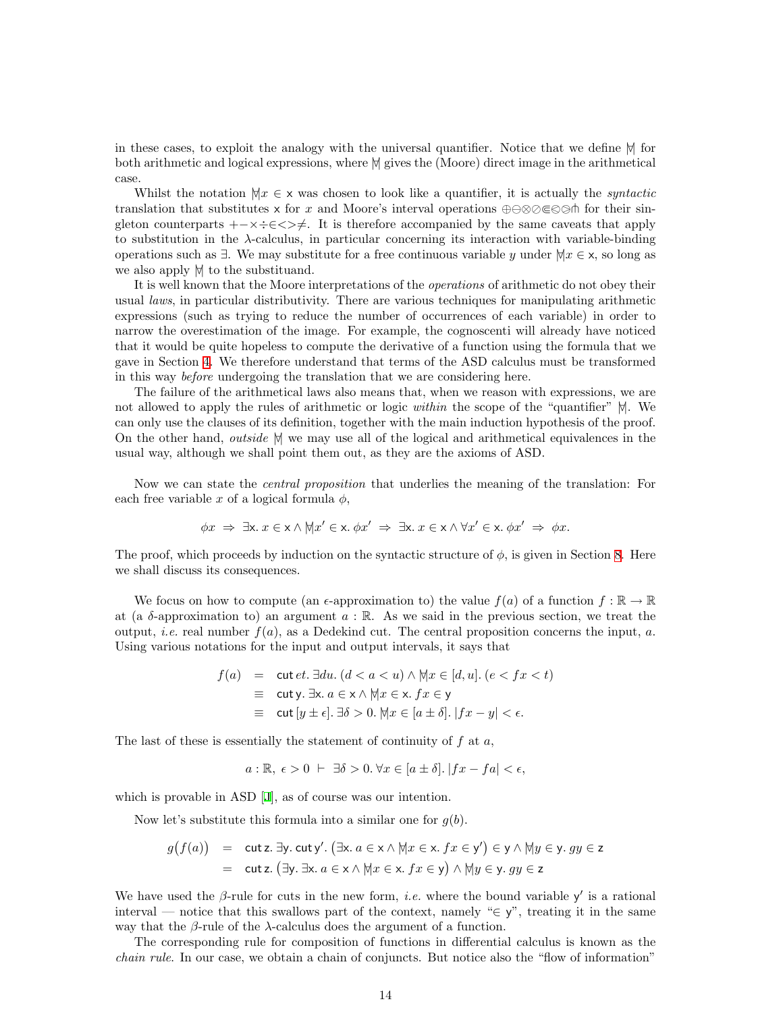in these cases, to exploit the analogy with the universal quantifier. Notice that we define  $\forall$  for both arithmetic and logical expressions, where  $| \nvert$  gives the (Moore) direct image in the arithmetical case.

Whilst the notation  $\forall x \in \mathsf{x}$  was chosen to look like a quantifier, it is actually the *syntactic* translation that substitutes x for x and Moore's interval operations  $\oplus \otimes \otimes \otimes \otimes \otimes \otimes$  for their singleton counterparts  $+\times \div \in \langle \rangle \neq$ . It is therefore accompanied by the same caveats that apply to substitution in the λ-calculus, in particular concerning its interaction with variable-binding operations such as  $\exists$ . We may substitute for a free continuous variable y under  $\forall x \in \mathsf{x}$ , so long as we also apply  $\forall$ | to the substituand.

It is well known that the Moore interpretations of the operations of arithmetic do not obey their usual laws, in particular distributivity. There are various techniques for manipulating arithmetic expressions (such as trying to reduce the number of occurrences of each variable) in order to narrow the overestimation of the image. For example, the cognoscenti will already have noticed that it would be quite hopeless to compute the derivative of a function using the formula that we gave in Section [4](#page-5-0). We therefore understand that terms of the ASD calculus must be transformed in this way before undergoing the translation that we are considering here.

The failure of the arithmetical laws also means that, when we reason with expressions, we are not allowed to apply the rules of arithmetic or logic *within* the scope of the "quantifier"  $\forall$ . We can only use the clauses of its definition, together with the main induction hypothesis of the proof. On the other hand, *outside*  $\forall$  we may use all of the logical and arithmetical equivalences in the usual way, although we shall point them out, as they are the axioms of ASD.

Now we can state the central proposition that underlies the meaning of the translation: For each free variable x of a logical formula  $\phi$ ,

$$
\phi x \Rightarrow \exists x. \ x \in x \land \forall x' \in x. \ \phi x' \Rightarrow \exists x. \ x \in x \land \forall x' \in x. \ \phi x' \Rightarrow \phi x.
$$

The proof, which proceeds by induction on the syntactic structure of  $\phi$ , is given in Section [8.](#page-17-0) Here we shall discuss its consequences.

We focus on how to compute (an  $\epsilon$ -approximation to) the value  $f(a)$  of a function  $f : \mathbb{R} \to \mathbb{R}$ at (a  $\delta$ -approximation to) an argument  $a : \mathbb{R}$ . As we said in the previous section, we treat the output, *i.e.* real number  $f(a)$ , as a Dedekind cut. The central proposition concerns the input, *a*. Using various notations for the input and output intervals, it says that

$$
f(a) = \text{cut } et. \exists du. \ (d < a < u) \land \forall |x \in [d, u]. \ (e < fx < t)
$$
\n
$$
\equiv \text{cut } y. \ \exists x. \ a \in x \land \forall |x \in x. \ fx \in y
$$
\n
$$
\equiv \text{cut } [y \pm \epsilon]. \ \exists \delta > 0. \ \forall |x \in [a \pm \delta]. \ |fx - y| < \epsilon.
$$

The last of these is essentially the statement of continuity of  $f$  at  $a$ ,

$$
a: \mathbb{R}, \ \epsilon > 0 \ \vdash \ \exists \delta > 0. \ \forall x \in [a \pm \delta]. \ |fx - fa| < \epsilon,
$$

which is provable in ASD[[J\]](#page-20-1), as of course was our intention.

Now let's substitute this formula into a similar one for  $g(b)$ .

$$
g(f(a)) = \text{cut } z. \exists y. \text{ cut } y'. (\exists x. a \in x \land \forall x \in x. fx \in y') \in y \land \forall y \in y. gy \in z
$$

$$
= \text{cut } z. (\exists y. \exists x. a \in x \land \forall x \in x. fx \in y) \land \forall y \in y. gy \in z
$$

We have used the  $\beta$ -rule for cuts in the new form, *i.e.* where the bound variable y' is a rational interval — notice that this swallows part of the context, namely " $\in \mathsf{y}$ ", treating it in the same way that the  $\beta$ -rule of the  $\lambda$ -calculus does the argument of a function.

The corresponding rule for composition of functions in differential calculus is known as the chain rule. In our case, we obtain a chain of conjuncts. But notice also the "flow of information"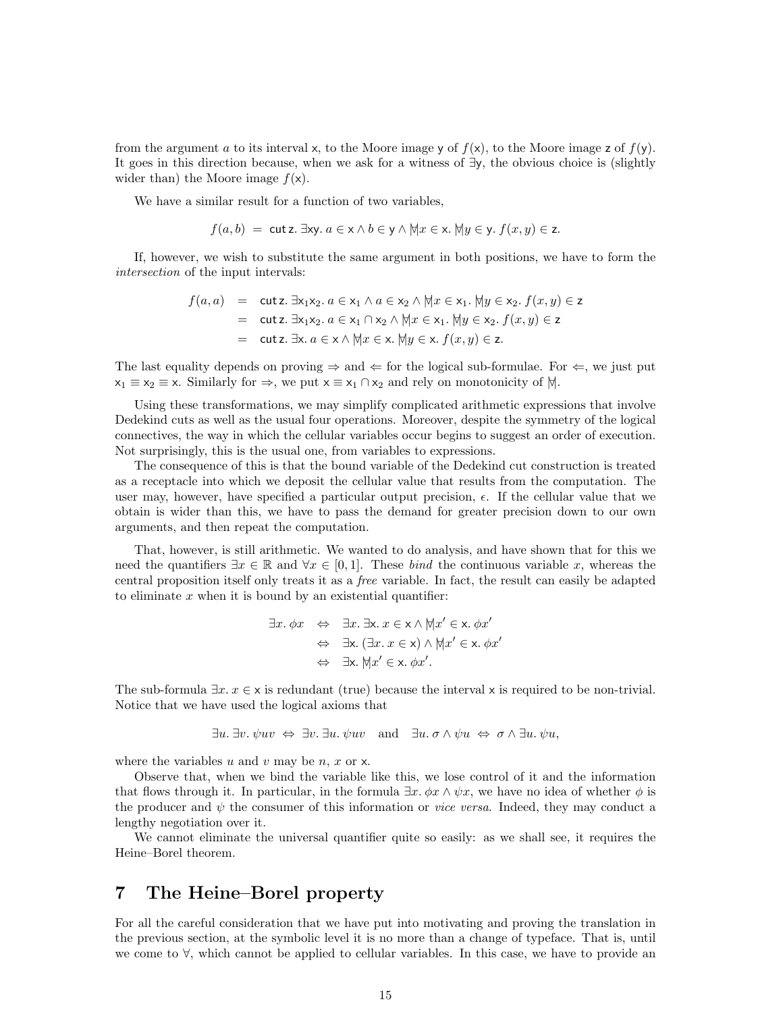from the argument a to its interval x, to the Moore image y of  $f(x)$ , to the Moore image z of  $f(y)$ . It goes in this direction because, when we ask for a witness of ∃y, the obvious choice is (slightly wider than) the Moore image  $f(x)$ .

We have a similar result for a function of two variables,

$$
f(a, b) = \text{cut } z. \exists xy. \ a \in x \land b \in y \land \forall x \in x. \ \forall y \in y. \ f(x, y) \in z.
$$

If, however, we wish to substitute the same argument in both positions, we have to form the intersection of the input intervals:

$$
f(a, a) = \text{cut } z. \exists x_1 x_2. a \in x_1 \land a \in x_2 \land \forall |x \in x_1. \forall |y \in x_2. f(x, y) \in z
$$
  
= cut  $z. \exists x_1 x_2. a \in x_1 \cap x_2 \land \forall |x \in x_1. \forall |y \in x_2. f(x, y) \in z$   
= cut  $z. \exists x. a \in x \land \forall |x \in x. \forall |y \in x. f(x, y) \in z$ .

The last equality depends on proving  $\Rightarrow$  and  $\Leftarrow$  for the logical sub-formulae. For  $\Leftarrow$ , we just put  $x_1 \equiv x_2 \equiv x$ . Similarly for  $\Rightarrow$ , we put  $x \equiv x_1 \cap x_2$  and rely on monotonicity of  $|\nabla|$ .

Using these transformations, we may simplify complicated arithmetic expressions that involve Dedekind cuts as well as the usual four operations. Moreover, despite the symmetry of the logical connectives, the way in which the cellular variables occur begins to suggest an order of execution. Not surprisingly, this is the usual one, from variables to expressions.

The consequence of this is that the bound variable of the Dedekind cut construction is treated as a receptacle into which we deposit the cellular value that results from the computation. The user may, however, have specified a particular output precision,  $\epsilon$ . If the cellular value that we obtain is wider than this, we have to pass the demand for greater precision down to our own arguments, and then repeat the computation.

That, however, is still arithmetic. We wanted to do analysis, and have shown that for this we need the quantifiers  $\exists x \in \mathbb{R}$  and  $\forall x \in [0,1]$ . These *bind* the continuous variable x, whereas the central proposition itself only treats it as a free variable. In fact, the result can easily be adapted to eliminate  $x$  when it is bound by an existential quantifier:

$$
\exists x. \phi x \Leftrightarrow \exists x. \exists x. x \in x \land \forall |x' \in x. \phi x'
$$
  
\n
$$
\Leftrightarrow \exists x. (\exists x. x \in x) \land \forall |x' \in x. \phi x'
$$
  
\n
$$
\Leftrightarrow \exists x. \forall |x' \in x. \phi x'.
$$

The sub-formula  $\exists x \cdot x \in \mathsf{x}$  is redundant (true) because the interval x is required to be non-trivial. Notice that we have used the logical axioms that

∃u. ∃v. ψuv ⇔ ∃v. ∃u. ψuv and ∃u. σ ∧ ψu ⇔ σ ∧ ∃u. ψu,

where the variables u and v may be n, x or  $x$ .

Observe that, when we bind the variable like this, we lose control of it and the information that flows through it. In particular, in the formula  $\exists x \, \phi x \land \psi x$ , we have no idea of whether  $\phi$  is the producer and  $\psi$  the consumer of this information or *vice versa*. Indeed, they may conduct a lengthy negotiation over it.

We cannot eliminate the universal quantifier quite so easily: as we shall see, it requires the Heine–Borel theorem.

#### 7 The Heine–Borel property

For all the careful consideration that we have put into motivating and proving the translation in the previous section, at the symbolic level it is no more than a change of typeface. That is, until we come to ∀, which cannot be applied to cellular variables. In this case, we have to provide an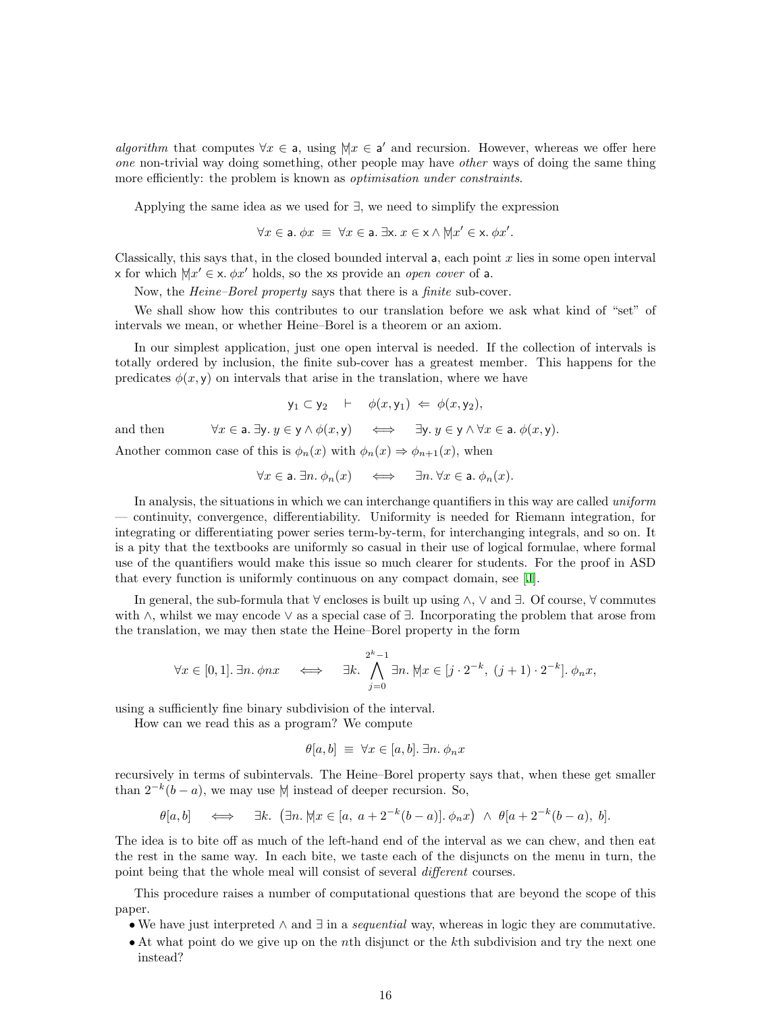algorithm that computes  $\forall x \in \mathsf{a}$ , using  $\forall x \in \mathsf{a}'$  and recursion. However, whereas we offer here one non-trivial way doing something, other people may have other ways of doing the same thing more efficiently: the problem is known as *optimisation under constraints*.

Applying the same idea as we used for ∃, we need to simplify the expression

$$
\forall x \in \mathsf{a}. \ \phi x \ \equiv \ \forall x \in \mathsf{a}. \ \exists \mathsf{x}. \ x \in \mathsf{x} \land \forall |x' \in \mathsf{x}. \ \phi x'.
$$

Classically, this says that, in the closed bounded interval  $\mathsf{a}$ , each point x lies in some open interval x for which  $\forall x' \in \mathsf{x}$ .  $\phi x'$  holds, so the xs provide an *open cover* of a.

Now, the Heine–Borel property says that there is a finite sub-cover.

We shall show how this contributes to our translation before we ask what kind of "set" of intervals we mean, or whether Heine–Borel is a theorem or an axiom.

In our simplest application, just one open interval is needed. If the collection of intervals is totally ordered by inclusion, the finite sub-cover has a greatest member. This happens for the predicates  $\phi(x, y)$  on intervals that arise in the translation, where we have

$$
\mathsf{y}_1 \subset \mathsf{y}_2 \quad \vdash \quad \phi(x, \mathsf{y}_1) \iff \phi(x, \mathsf{y}_2),
$$
\nand then\n
$$
\forall x \in \mathsf{a}.\ \exists \mathsf{y}. \ y \in \mathsf{y} \land \phi(x, \mathsf{y}) \iff \exists \mathsf{y}. \ y \in \mathsf{y} \land \forall x \in \mathsf{a}.\ \phi(x, \mathsf{y}).
$$

Another common case of this is  $\phi_n(x)$  with  $\phi_n(x) \Rightarrow \phi_{n+1}(x)$ , when

$$
\forall x \in \mathsf{a}.\ \exists n.\ \phi_n(x) \quad \iff \quad \exists n. \ \forall x \in \mathsf{a}.\ \phi_n(x).
$$

In analysis, the situations in which we can interchange quantifiers in this way are called *uniform* — continuity, convergence, differentiability. Uniformity is needed for Riemann integration, for integrating or differentiating power series term-by-term, for interchanging integrals, and so on. It is a pity that the textbooks are uniformly so casual in their use of logical formulae, where formal use of the quantifiers would make this issue so much clearer for students. For the proof in ASD that every function is uniformly continuous on any compact domain, see[[J\]](#page-20-1).

In general, the sub-formula that ∀ encloses is built up using ∧, ∨ and ∃. Of course, ∀ commutes with ∧, whilst we may encode ∨ as a special case of ∃. Incorporating the problem that arose from the translation, we may then state the Heine–Borel property in the form

$$
\forall x \in [0,1]. \exists n. \phi nx \quad \Longleftrightarrow \quad \exists k. \bigwedge_{j=0}^{2^k-1} \exists n. \, \forall x \in [j \cdot 2^{-k}, \ (j+1) \cdot 2^{-k}]. \, \phi_n x,
$$

using a sufficiently fine binary subdivision of the interval.

How can we read this as a program? We compute

$$
\theta[a, b] \equiv \forall x \in [a, b]. \exists n. \phi_n x
$$

recursively in terms of subintervals. The Heine–Borel property says that, when these get smaller than  $2^{-k}(b-a)$ , we may use  $\mathbb N$  instead of deeper recursion. So,

$$
\theta[a, b] \quad \Longleftrightarrow \quad \exists k. \ \big(\exists n. \, \forall |x \in [a, a + 2^{-k}(b - a)]. \phi_n x\big) \ \wedge \ \theta[a + 2^{-k}(b - a), \ b].
$$

The idea is to bite off as much of the left-hand end of the interval as we can chew, and then eat the rest in the same way. In each bite, we taste each of the disjuncts on the menu in turn, the point being that the whole meal will consist of several *different* courses.

This procedure raises a number of computational questions that are beyond the scope of this paper.

- We have just interpreted  $\wedge$  and  $\exists$  in a *sequential* way, whereas in logic they are commutative.
- At what point do we give up on the nth disjunct or the kth subdivision and try the next one instead?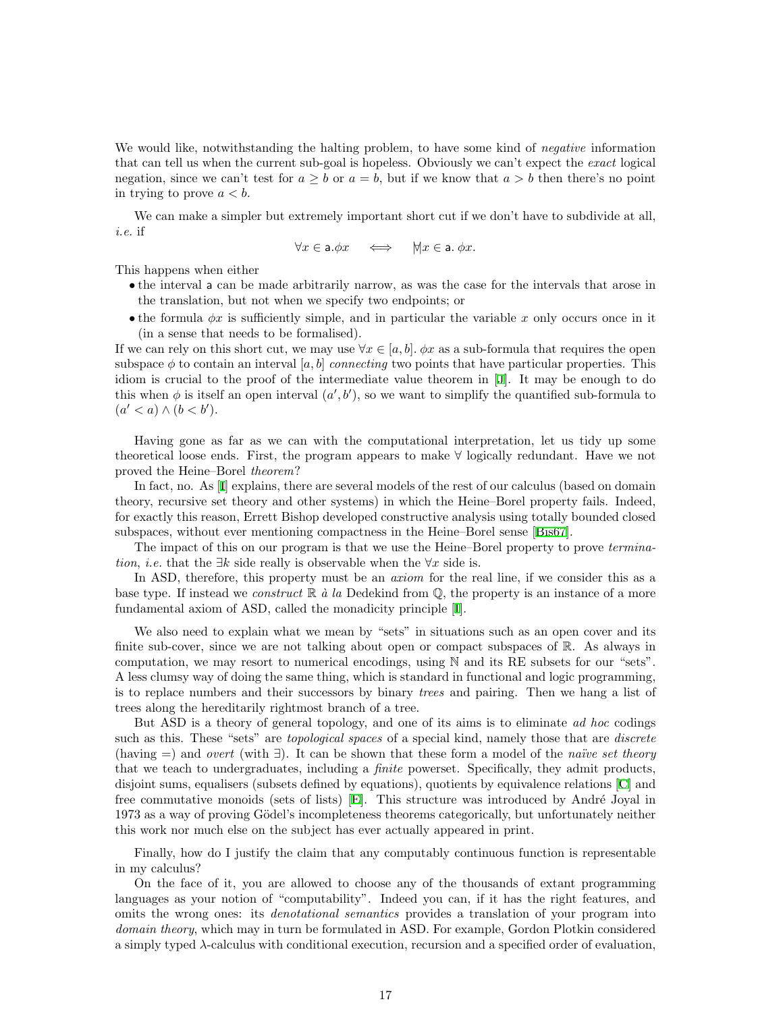We would like, notwithstanding the halting problem, to have some kind of *negative* information that can tell us when the current sub-goal is hopeless. Obviously we can't expect the exact logical negation, since we can't test for  $a > b$  or  $a = b$ , but if we know that  $a > b$  then there's no point in trying to prove  $a < b$ .

We can make a simpler but extremely important short cut if we don't have to subdivide at all, i.e. if

$$
\forall x \in \mathsf{a}.\phi x \quad \iff \quad \forall x \in \mathsf{a}.\ \phi x.
$$

This happens when either

- the interval a can be made arbitrarily narrow, as was the case for the intervals that arose in the translation, but not when we specify two endpoints; or
- the formula  $\phi x$  is sufficiently simple, and in particular the variable x only occurs once in it (in a sense that needs to be formalised).

If we can rely on this short cut, we may use  $\forall x \in [a, b]$ .  $\phi x$  as a sub-formula that requires the open subspace  $\phi$  to contain an interval [a, b] connecting two points that have particular properties. This idiom is crucial to the proof of the intermediate value theorem in [\[J](#page-20-1)]. It may be enough to do this when  $\phi$  is itself an open interval  $(a', b')$ , so we want to simplify the quantified sub-formula to  $(a' < a) \wedge (b < b').$ 

Having gone as far as we can with the computational interpretation, let us tidy up some theoretical loose ends. First, the program appears to make ∀ logically redundant. Have we not proved the Heine–Borel theorem?

In fact, no. As [\[I](#page-20-5)] explains, there are several models of the rest of our calculus (based on domain theory, recursive set theory and other systems) in which the Heine–Borel property fails. Indeed, for exactly this reason, Errett Bishop developed constructive analysis using totally bounded closed subspaces, without ever mentioning compactness in the Heine–Borel sense [\[Bis67\]](#page-19-8).

The impact of this on our program is that we use the Heine–Borel property to prove termination, *i.e.* that the  $\exists k$  side really is observable when the  $\forall x$  side is.

In ASD, therefore, this property must be an *axiom* for the real line, if we consider this as a base type. If instead we *construct*  $\mathbb{R}$  à la Dedekind from  $\mathbb{Q}$ , the property is an instance of a more fundamental axiom of ASD, called the monadicity principle[[I](#page-20-5)].

We also need to explain what we mean by "sets" in situations such as an open cover and its finite sub-cover, since we are not talking about open or compact subspaces of  $\mathbb{R}$ . As always in computation, we may resort to numerical encodings, using N and its RE subsets for our "sets". A less clumsy way of doing the same thing, which is standard in functional and logic programming, is to replace numbers and their successors by binary *trees* and pairing. Then we hang a list of trees along the hereditarily rightmost branch of a tree.

But ASD is a theory of general topology, and one of its aims is to eliminate ad hoc codings such as this. These "sets" are *topological spaces* of a special kind, namely those that are *discrete* (having =) and *overt* (with  $\exists$ ). It can be shown that these form a model of the *naïve set theory* that we teach to undergraduates, including a finite powerset. Specifically, they admit products, disjoint sums, equalisers (subsets defined by equations), quotients by equivalence relations [\[C](#page-20-6)] and free commutative monoids (sets of lists) [\[E\]](#page-20-7). This structure was introduced by André Joyal in 1973 as a way of proving Gödel's incompleteness theorems categorically, but unfortunately neither this work nor much else on the subject has ever actually appeared in print.

Finally, how do I justify the claim that any computably continuous function is representable in my calculus?

On the face of it, you are allowed to choose any of the thousands of extant programming languages as your notion of "computability". Indeed you can, if it has the right features, and omits the wrong ones: its *denotational semantics* provides a translation of your program into domain theory, which may in turn be formulated in ASD. For example, Gordon Plotkin considered a simply typed λ-calculus with conditional execution, recursion and a specified order of evaluation,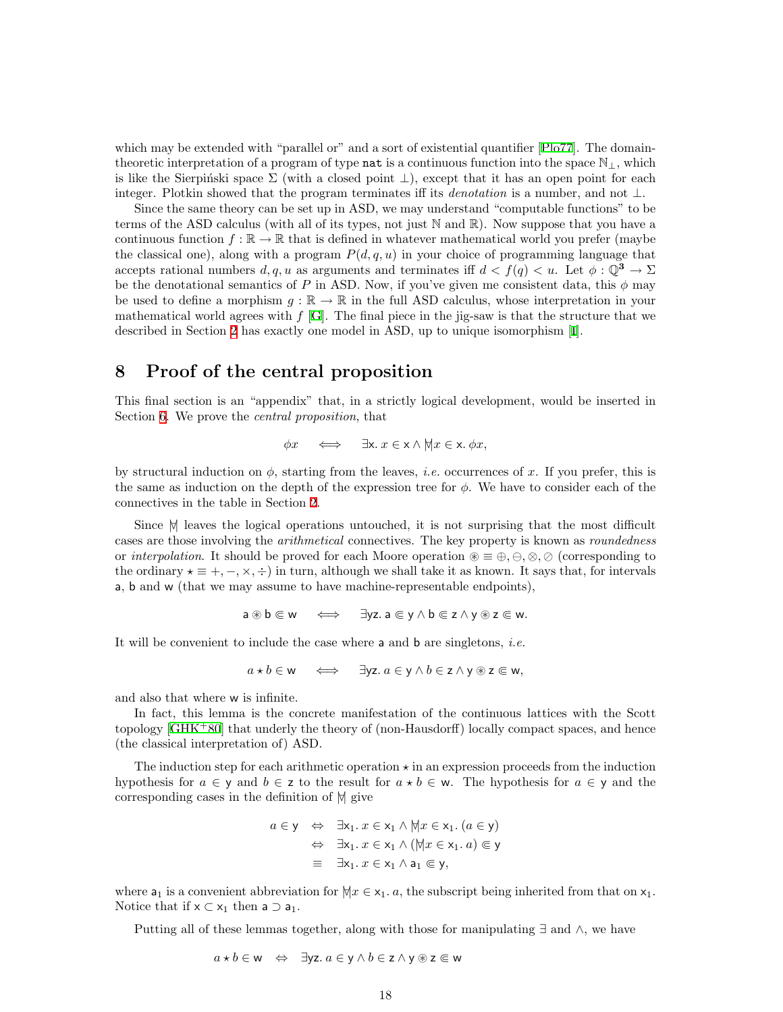which may be extended with "parallel or" and a sort of existential quantifier [\[Plo77\]](#page-19-17). The domaintheoretic interpretation of a program of type **nat** is a continuous function into the space  $\mathbb{N}_\perp$ , which is like the Sierpinski space  $\Sigma$  (with a closed point  $\bot$ ), except that it has an open point for each integer. Plotkin showed that the program terminates iff its *denotation* is a number, and not  $\perp$ .

Since the same theory can be set up in ASD, we may understand "computable functions" to be terms of the ASD calculus (with all of its types, not just N and R). Now suppose that you have a continuous function  $f : \mathbb{R} \to \mathbb{R}$  that is defined in whatever mathematical world you prefer (maybe the classical one), along with a program  $P(d, q, u)$  in your choice of programming language that accepts rational numbers  $d, q, u$  as arguments and terminates iff  $d < f(q) < u$ . Let  $\phi : \mathbb{Q}^3 \to \Sigma$ be the denotational semantics of P in ASD. Now, if you've given me consistent data, this  $\phi$  may be used to define a morphism  $g : \mathbb{R} \to \mathbb{R}$  in the full ASD calculus, whose interpretation in your mathematical world agrees with  $f$  [[G](#page-20-0)]. The final piece in the jig-saw is that the structure that we described in Section [2](#page-1-0) has exactly one model in ASD, up to unique isomorphism [\[I\]](#page-20-5).

## <span id="page-17-0"></span>8 Proof of the central proposition

This final section is an "appendix" that, in a strictly logical development, would be inserted in Section [6.](#page-11-0) We prove the *central proposition*, that

$$
\phi x \quad \Longleftrightarrow \quad \exists x. \ x \in x \land \forall x \in x. \ \phi x,
$$

by structural induction on  $\phi$ , starting from the leaves, *i.e.* occurrences of x. If you prefer, this is the same as induction on the depth of the expression tree for  $\phi$ . We have to consider each of the connectives in the table in Section [2.](#page-1-0)

Since  $\forall$  leaves the logical operations untouched, it is not surprising that the most difficult cases are those involving the *arithmetical* connectives. The key property is known as *roundedness* or interpolation. It should be proved for each Moore operation  $\mathcal{B} \equiv \oplus, \ominus, \otimes, \oslash$  (corresponding to the ordinary  $\star \equiv +, -, \times, \div$ ) in turn, although we shall take it as known. It says that, for intervals a, b and w (that we may assume to have machine-representable endpoints),

$$
a \circledast b \in w \quad \Longleftrightarrow \quad \exists yz. a \in y \land b \in z \land y \circledast z \in w.
$$

It will be convenient to include the case where a and b are singletons, *i.e.* 

$$
a \star b \in w \iff \exists yz. a \in y \land b \in z \land y \circledast z \in w,
$$

and also that where w is infinite.

In fact, this lemma is the concrete manifestation of the continuous lattices with the Scott topology [\[GHK](#page-19-16)<sup>+</sup>80] that underly the theory of (non-Hausdorff) locally compact spaces, and hence (the classical interpretation of) ASD.

The induction step for each arithmetic operation  $\star$  in an expression proceeds from the induction hypothesis for  $a \in y$  and  $b \in z$  to the result for  $a * b \in w$ . The hypothesis for  $a \in y$  and the corresponding cases in the definition of  $|$  give

$$
a \in y \Leftrightarrow \exists x_1. x \in x_1 \land \forall x \in x_1. (a \in y)
$$
  

$$
\Leftrightarrow \exists x_1. x \in x_1 \land (\forall x \in x_1. a) \subseteq y
$$
  

$$
\equiv \exists x_1. x \in x_1 \land a_1 \subseteq y,
$$

where  $a_1$  is a convenient abbreviation for  $\forall x \in x_1$ . a, the subscript being inherited from that on  $x_1$ . Notice that if  $x \subset x_1$  then  $a \supset a_1$ .

Putting all of these lemmas together, along with those for manipulating ∃ and ∧, we have

$$
a \star b \in w \Leftrightarrow \exists yz. a \in y \land b \in z \land y \circledast z \in w
$$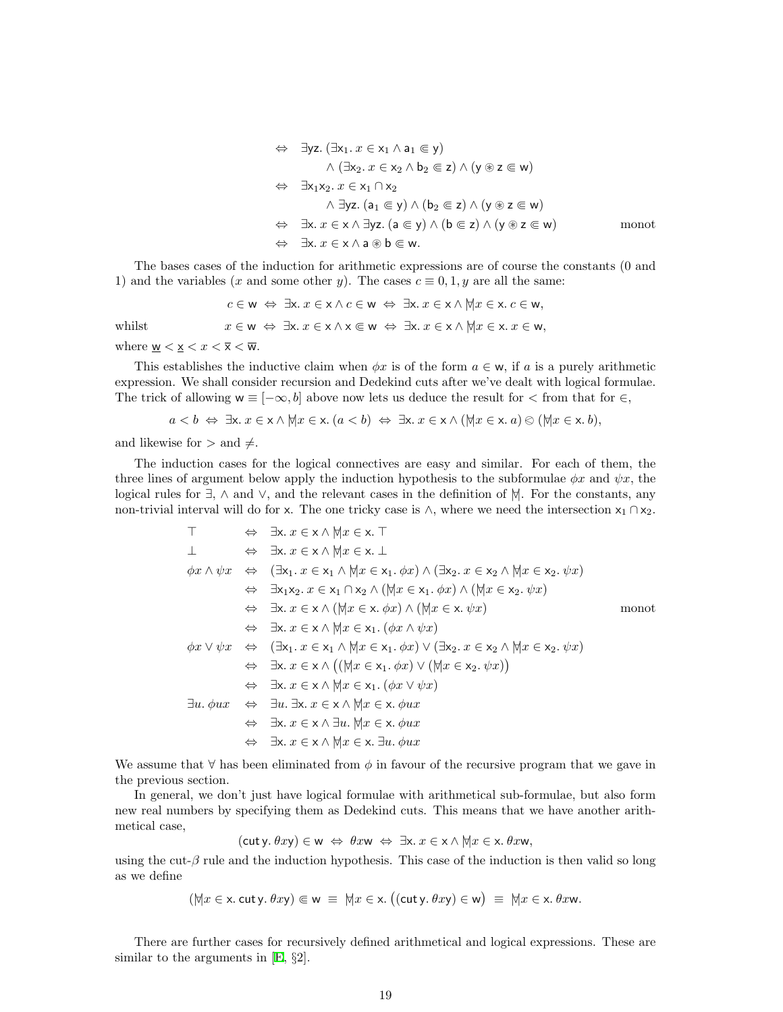$$
\Leftrightarrow \exists yz. (\exists x_1. x \in x_1 \land a_1 \in y)
$$
  
\n
$$
\land (\exists x_2. x \in x_2 \land b_2 \in z) \land (y \circledast z \in w)
$$
  
\n
$$
\Leftrightarrow \exists x_1x_2. x \in x_1 \cap x_2
$$
  
\n
$$
\land \exists yz. (a_1 \in y) \land (b_2 \in z) \land (y \circledast z \in w)
$$
  
\n
$$
\Leftrightarrow \exists x. x \in x \land \exists yz. (a \in y) \land (b \in z) \land (y \circledast z \in w)
$$
  
\n
$$
\Leftrightarrow \exists x. x \in x \land a \circledast b \in w.
$$

The bases cases of the induction for arithmetic expressions are of course the constants (0 and 1) and the variables (x and some other y). The cases  $c \equiv 0, 1, y$  are all the same:

 $c \in \mathsf{w} \Leftrightarrow \exists x. x \in \mathsf{x} \land c \in \mathsf{w} \Leftrightarrow \exists x. x \in \mathsf{x} \land \forall x \in \mathsf{x} \ldotp c \in \mathsf{w},$ whilst  $x \in \mathsf{w} \Leftrightarrow \exists x. x \in \mathsf{x} \wedge \mathsf{x} \in \mathsf{w} \Leftrightarrow \exists \mathsf{x}. x \in \mathsf{x} \wedge \forall x \in \mathsf{x}. x \in \mathsf{w},$ where  $\underline{\mathsf{w}} < \underline{\mathsf{x}} < x < \overline{\mathsf{x}} < \overline{\mathsf{w}}$ .

This establishes the inductive claim when  $\phi x$  is of the form  $a \in \mathsf{w}$ , if a is a purely arithmetic expression. We shall consider recursion and Dedekind cuts after we've dealt with logical formulae. The trick of allowing  $w \equiv [-\infty, b]$  above now lets us deduce the result for  $\lt$  from that for  $\in$ ,

$$
a < b \Leftrightarrow \exists x. x \in x \land \forall x \in x. (a < b) \Leftrightarrow \exists x. x \in x \land (\forall x \in x. a) \otimes (\forall x \in x. b),
$$

and likewise for  $>$  and  $\neq$ .

The induction cases for the logical connectives are easy and similar. For each of them, the three lines of argument below apply the induction hypothesis to the subformulae  $\phi x$  and  $\psi x$ , the logical rules for  $\exists$ ,  $\wedge$  and  $\vee$ , and the relevant cases in the definition of  $\forall$ . For the constants, any non-trivial interval will do for x. The one tricky case is  $\wedge$ , where we need the intersection  $x_1 \cap x_2$ .

$$
\top \Leftrightarrow \exists x. x \in x \land \forall x \in x. \top
$$
\n
$$
\bot \Leftrightarrow \exists x. x \in x \land \forall x \in x. \bot
$$
\n
$$
\phi x \land \psi x \Leftrightarrow (\exists x_1. x \in x_1 \land \forall x \in x_1. \phi x) \land (\exists x_2. x \in x_2 \land \forall x \in x_2. \psi x)
$$
\n
$$
\Leftrightarrow \exists x_1x_2. x \in x_1 \cap x_2 \land (\forall x \in x_1. \phi x) \land (\forall x \in x_2. \psi x)
$$
\n
$$
\Leftrightarrow \exists x. x \in x \land (\forall x \in x. \phi x) \land (\forall x \in x. \psi x)
$$
\n
$$
\Leftrightarrow \exists x. x \in x \land \forall x \in x \land (\forall x \in x. \phi x) \land (\forall x \in x. \psi x)
$$
\n
$$
\phi x \lor \psi x \Leftrightarrow (\exists x_1. x \in x_1 \land \forall x \in x_1. \phi x) \lor (\exists x_2. x \in x_2 \land \forall x \in x_2. \psi x)
$$
\n
$$
\Leftrightarrow \exists x. x \in x \land ((\forall x \in x_1. \phi x) \lor (\forall x \in x_2. \psi x))
$$
\n
$$
\Leftrightarrow \exists x. x \in x \land (\forall x \in x_1. (\phi x \lor \psi x)
$$
\n
$$
\exists u. \exists u. \exists x. x \in x \land \forall x \in x. \phi ux
$$
\n
$$
\Leftrightarrow \exists u. \exists x. x \in x \land \forall x \in x. \phi ux
$$
\n
$$
\Leftrightarrow \exists x. x \in x \land \forall x \in x. \exists u. \forall x \in x. \phi ux
$$
\n
$$
\Leftrightarrow \exists x. x \in x \land \forall x \in x. \exists u. \phi ux
$$

We assume that  $\forall$  has been eliminated from  $\phi$  in favour of the recursive program that we gave in the previous section.

In general, we don't just have logical formulae with arithmetical sub-formulae, but also form new real numbers by specifying them as Dedekind cuts. This means that we have another arithmetical case,

 $(\text{cut } y. \theta xy) \in w \Leftrightarrow \theta xw \Leftrightarrow \exists x. \ x \in x \wedge \forall x \in x. \ \theta xw,$ 

using the cut- $\beta$  rule and the induction hypothesis. This case of the induction is then valid so long as we define

$$
(\forall x \in x
$$
. cut y.  $\theta xy) \in w \equiv \forall x \in x$ .  $((\text{cut } y, \theta xy) \in w) \equiv \forall x \in x$ .  $\theta x w$ .

There are further cases for recursively defined arithmetical and logical expressions. These are similar to the arguments in[[E,](#page-20-7) §2].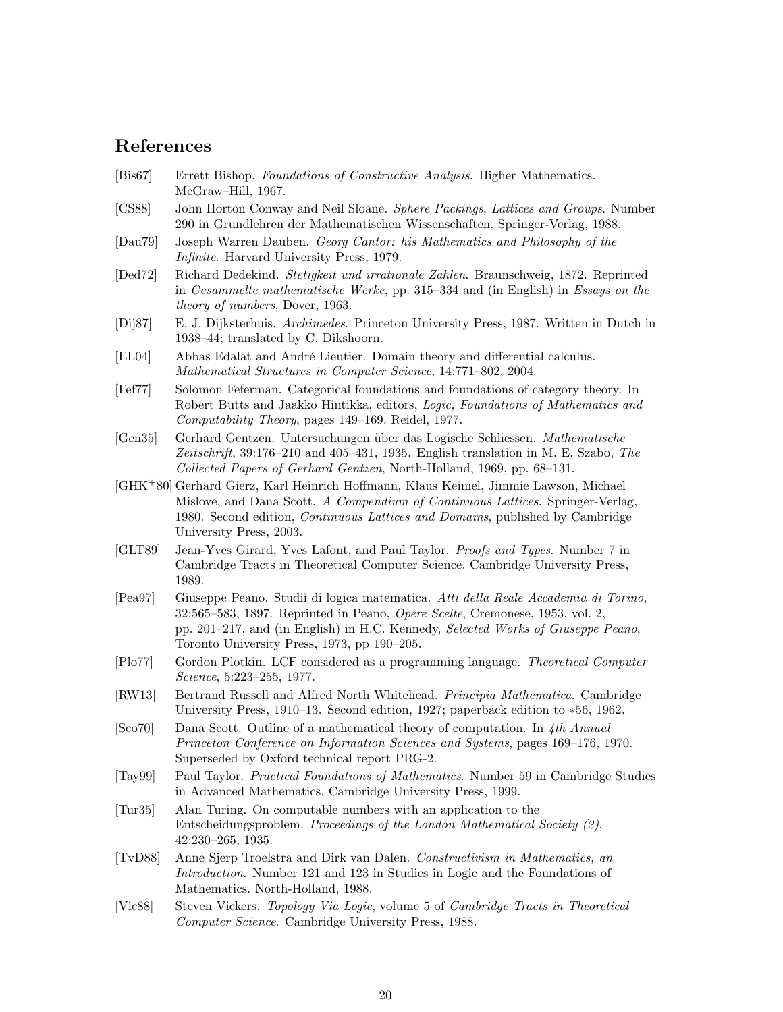# References

- <span id="page-19-8"></span>[Bis67] Errett Bishop. Foundations of Constructive Analysis. Higher Mathematics. McGraw–Hill, 1967.
- <span id="page-19-15"></span>[CS88] John Horton Conway and Neil Sloane. Sphere Packings, Lattices and Groups. Number 290 in Grundlehren der Mathematischen Wissenschaften. Springer-Verlag, 1988.
- <span id="page-19-0"></span>[Dau79] Joseph Warren Dauben. Georg Cantor: his Mathematics and Philosophy of the Infinite. Harvard University Press, 1979.
- <span id="page-19-6"></span>[Ded72] Richard Dedekind. Stetigkeit und irrationale Zahlen. Braunschweig, 1872. Reprinted in Gesammelte mathematische Werke, pp. 315–334 and (in English) in Essays on the theory of numbers, Dover, 1963.
- <span id="page-19-9"></span>[Dij87] E. J. Dijksterhuis. Archimedes. Princeton University Press, 1987. Written in Dutch in 1938–44; translated by C. Dikshoorn.
- <span id="page-19-5"></span>[EL04] Abbas Edalat and André Lieutier. Domain theory and differential calculus. Mathematical Structures in Computer Science, 14:771–802, 2004.
- <span id="page-19-1"></span>[Fef77] Solomon Feferman. Categorical foundations and foundations of category theory. In Robert Butts and Jaakko Hintikka, editors, Logic, Foundations of Mathematics and Computability Theory, pages 149–169. Reidel, 1977.
- <span id="page-19-10"></span>[Gen35] Gerhard Gentzen. Untersuchungen über das Logische Schliessen. Mathematische Zeitschrift, 39:176–210 and 405–431, 1935. English translation in M. E. Szabo, The Collected Papers of Gerhard Gentzen, North-Holland, 1969, pp. 68–131.
- <span id="page-19-16"></span>[GHK<sup>+</sup>80] Gerhard Gierz, Karl Heinrich Hoffmann, Klaus Keimel, Jimmie Lawson, Michael Mislove, and Dana Scott. A Compendium of Continuous Lattices. Springer-Verlag, 1980. Second edition, Continuous Lattices and Domains, published by Cambridge University Press, 2003.
- <span id="page-19-11"></span>[GLT89] Jean-Yves Girard, Yves Lafont, and Paul Taylor. Proofs and Types. Number 7 in Cambridge Tracts in Theoretical Computer Science. Cambridge University Press, 1989.
- <span id="page-19-13"></span>[Pea97] Giuseppe Peano. Studii di logica matematica. Atti della Reale Accademia di Torino, 32:565–583, 1897. Reprinted in Peano, Opere Scelte, Cremonese, 1953, vol. 2, pp. 201–217, and (in English) in H.C. Kennedy, Selected Works of Giuseppe Peano, Toronto University Press, 1973, pp 190–205.
- <span id="page-19-17"></span>[Plo77] Gordon Plotkin. LCF considered as a programming language. Theoretical Computer Science, 5:223–255, 1977.
- <span id="page-19-14"></span>[RW13] Bertrand Russell and Alfred North Whitehead. Principia Mathematica. Cambridge University Press, 1910–13. Second edition, 1927; paperback edition to ∗56, 1962.
- <span id="page-19-4"></span> $[Sco70]$  Dana Scott. Outline of a mathematical theory of computation. In 4th Annual Princeton Conference on Information Sciences and Systems, pages 169–176, 1970. Superseded by Oxford technical report PRG-2.
- <span id="page-19-12"></span>[Tay99] Paul Taylor. Practical Foundations of Mathematics. Number 59 in Cambridge Studies in Advanced Mathematics. Cambridge University Press, 1999.
- <span id="page-19-2"></span>[Tur35] Alan Turing. On computable numbers with an application to the Entscheidungsproblem. Proceedings of the London Mathematical Society (2), 42:230–265, 1935.
- <span id="page-19-7"></span>[TvD88] Anne Sjerp Troelstra and Dirk van Dalen. Constructivism in Mathematics, an Introduction. Number 121 and 123 in Studies in Logic and the Foundations of Mathematics. North-Holland, 1988.
- <span id="page-19-3"></span>[Vic88] Steven Vickers. Topology Via Logic, volume 5 of Cambridge Tracts in Theoretical Computer Science. Cambridge University Press, 1988.